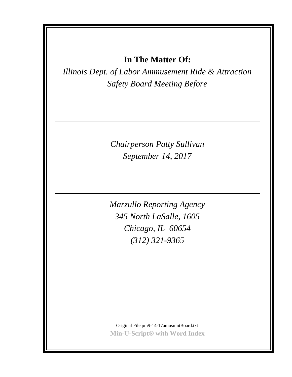# **In The Matter Of:**

*Illinois Dept. of Labor Ammusement Ride & Attraction Safety Board Meeting Before*

> *Chairperson Patty Sullivan September 14, 2017*

*Marzullo Reporting Agency 345 North LaSalle, 1605 Chicago, IL 60654 (312) 321-9365*

Original File pm9-14-17amusmntBoard.txt **Min-U-Script® with Word Index**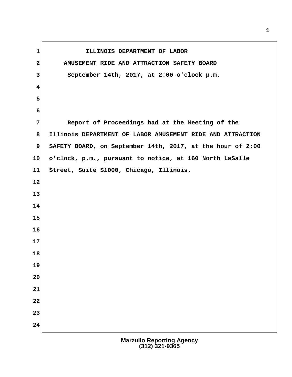**1 ILLINOIS DEPARTMENT OF LABOR 2 AMUSEMENT RIDE AND ATTRACTION SAFETY BOARD 3 September 14th, 2017, at 2:00 o'clock p.m. 7 Report of Proceedings had at the Meeting of the 8 Illinois DEPARTMENT OF LABOR AMUSEMENT RIDE AND ATTRACTION 9 SAFETY BOARD, on September 14th, 2017, at the hour of 2:00 10 o'clock, p.m., pursuant to notice, at 160 North LaSalle 11 Street, Suite S1000, Chicago, Illinois.**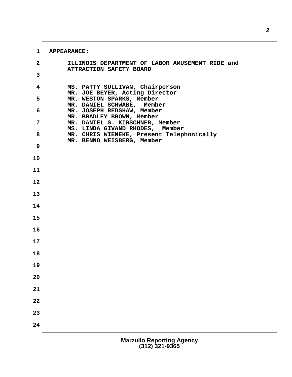**1 APPEARANCE: 2 ILLINOIS DEPARTMENT OF LABOR AMUSEMENT RIDE and ATTRACTION SAFETY BOARD 3 4 MS. PATTY SULLIVAN, Chairperson MR. JOE BEYER, Acting Director 5 MR. WESTON SPARKS, Member MR. DANIEL SCHWABE, Member 6 MR. JOSEPH REDSHAW, Member MR. BRADLEY BROWN, Member 7 MR. DANIEL S. KIRSCHNER, Member MS. LINDA GIVAND RHODES, Member 8 MR. CHRIS WIENEKE, Present Telephonically MR. BENNO WEISBERG, Member 9 10 11 12 13 14 15 16 17 18 19 20 21 22 23 24**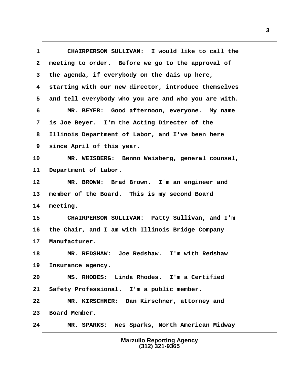**1 CHAIRPERSON SULLIVAN: I would like to call the 2 meeting to order. Before we go to the approval of 3 the agenda, if everybody on the dais up here, 4 starting with our new director, introduce themselves 5 and tell everybody who you are and who you are with. 6 MR. BEYER: Good afternoon, everyone. My name 7 is Joe Beyer. I'm the Acting Directer of the 8 Illinois Department of Labor, and I've been here 9 since April of this year. 10 MR. WEISBERG: Benno Weisberg, general counsel, 11 Department of Labor. 12 MR. BROWN: Brad Brown. I'm an engineer and 13 member of the Board. This is my second Board 14 meeting. 15 CHAIRPERSON SULLIVAN: Patty Sullivan, and I'm 16 the Chair, and I am with Illinois Bridge Company 17 Manufacturer. 18 MR. REDSHAW: Joe Redshaw. I'm with Redshaw 19 Insurance agency. 20 MS. RHODES: Linda Rhodes. I'm a Certified 21 Safety Professional. I'm a public member. 22 MR. KIRSCHNER: Dan Kirschner, attorney and 23 Board Member. 24 MR. SPARKS: Wes Sparks, North American Midway**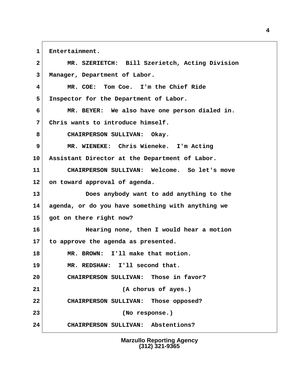**1 Entertainment.**

 **2 MR. SZERIETCH: Bill Szerietch, Acting Division 3 Manager, Department of Labor. 4 MR. COE: Tom Coe. I'm the Chief Ride 5 Inspector for the Department of Labor. 6 MR. BEYER: We also have one person dialed in. 7 Chris wants to introduce himself. 8 CHAIRPERSON SULLIVAN: Okay. 9 MR. WIENEKE: Chris Wieneke. I'm Acting 10 Assistant Director at the Department of Labor. 11 CHAIRPERSON SULLIVAN: Welcome. So let's move 12 on toward approval of agenda. 13 Does anybody want to add anything to the 14 agenda, or do you have something with anything we 15 got on there right now? 16 Hearing none, then I would hear a motion 17 to approve the agenda as presented. 18 MR. BROWN: I'll make that motion. 19 MR. REDSHAW: I'll second that. 20 CHAIRPERSON SULLIVAN: Those in favor? 21 (A chorus of ayes.) 22 CHAIRPERSON SULLIVAN: Those opposed? 23 (No response.) 24 CHAIRPERSON SULLIVAN: Abstentions?**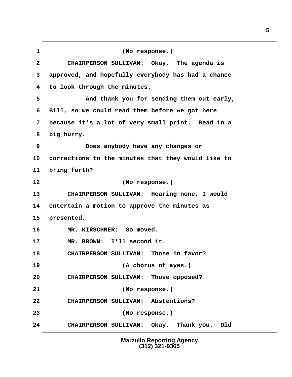**1 (No response.) 2 CHAIRPERSON SULLIVAN: Okay. The agenda is 3 approved, and hopefully everybody has had a chance 4 to look through the minutes. 5 And thank you for sending them out early, 6 Bill, so we could read them before we got here 7 because it's a lot of very small print. Read in a 8 big hurry. 9 Does anybody have any changes or 10 corrections to the minutes that they would like to 11 bring forth? 12 (No response.) 13 CHAIRPERSON SULLIVAN: Hearing none, I would 14 entertain a motion to approve the minutes as 15 presented. 16 MR. KIRSCHNER: So moved. 17 MR. BROWN: I'll second it. 18 CHAIRPERSON SULLIVAN: Those in favor? 19 (A chorus of ayes.) 20 CHAIRPERSON SULLIVAN: Those opposed? 21 (No response.) 22 CHAIRPERSON SULLIVAN: Abstentions? 23 (No response.) 24 CHAIRPERSON SULLIVAN: Okay. Thank you. Old**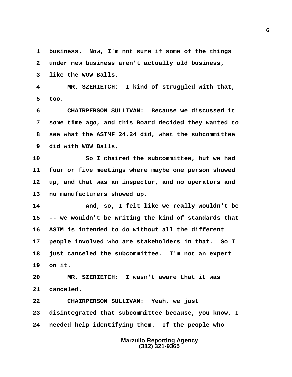**1 business. Now, I'm not sure if some of the things 2 under new business aren't actually old business, 3 like the WOW Balls. 4 MR. SZERIETCH: I kind of struggled with that, 5 too. 6 CHAIRPERSON SULLIVAN: Because we discussed it 7 some time ago, and this Board decided they wanted to 8 see what the ASTMF 24.24 did, what the subcommittee 9 did with WOW Balls. 10 So I chaired the subcommittee, but we had 11 four or five meetings where maybe one person showed 12 up, and that was an inspector, and no operators and 13 no manufacturers showed up. 14 And, so, I felt like we really wouldn't be 15 -- we wouldn't be writing the kind of standards that 16 ASTM is intended to do without all the different 17 people involved who are stakeholders in that. So I 18 just canceled the subcommittee. I'm not an expert 19 on it. 20 MR. SZERIETCH: I wasn't aware that it was 21 canceled. 22 CHAIRPERSON SULLIVAN: Yeah, we just 23 disintegrated that subcommittee because, you know, I 24 needed help identifying them. If the people who**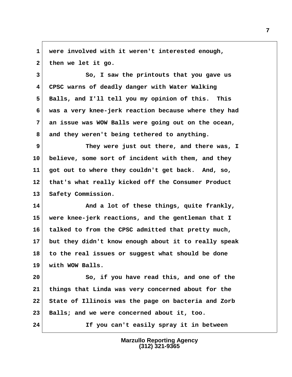**1 were involved with it weren't interested enough,** 2 then we let it go.

 **3 So, I saw the printouts that you gave us 4 CPSC warns of deadly danger with Water Walking 5 Balls, and I'll tell you my opinion of this. This 6 was a very knee-jerk reaction because where they had 7 an issue was WOW Balls were going out on the ocean, 8 and they weren't being tethered to anything.**

**9** They were just out there, and there was, I **10 believe, some sort of incident with them, and they 11 got out to where they couldn't get back. And, so, 12 that's what really kicked off the Consumer Product 13 Safety Commission.**

14 And a lot of these things, quite frankly, **15 were knee-jerk reactions, and the gentleman that I 16 talked to from the CPSC admitted that pretty much, 17 but they didn't know enough about it to really speak 18 to the real issues or suggest what should be done 19 with WOW Balls.**

**20 So, if you have read this, and one of the 21 things that Linda was very concerned about for the 22 State of Illinois was the page on bacteria and Zorb 23 Balls; and we were concerned about it, too. 24 If you can't easily spray it in between**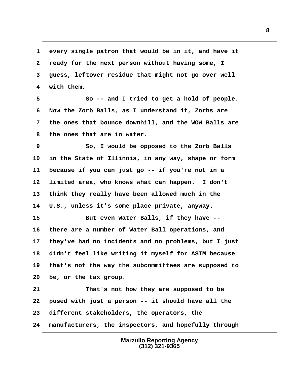**1 every single patron that would be in it, and have it 2 ready for the next person without having some, I 3 guess, leftover residue that might not go over well 4 with them.**

 **5 So -- and I tried to get a hold of people. 6 Now the Zorb Balls, as I understand it, Zorbs are 7 the ones that bounce downhill, and the WOW Balls are 8 the ones that are in water.**

 **9 So, I would be opposed to the Zorb Balls 10 in the State of Illinois, in any way, shape or form 11 because if you can just go -- if you're not in a 12 limited area, who knows what can happen. I don't 13 think they really have been allowed much in the 14 U.S., unless it's some place private, anyway.**

**15 But even Water Balls, if they have -- 16 there are a number of Water Ball operations, and 17 they've had no incidents and no problems, but I just 18 didn't feel like writing it myself for ASTM because 19 that's not the way the subcommittees are supposed to 20 be, or the tax group.**

**21 That's not how they are supposed to be 22 posed with just a person -- it should have all the 23 different stakeholders, the operators, the 24 manufacturers, the inspectors, and hopefully through**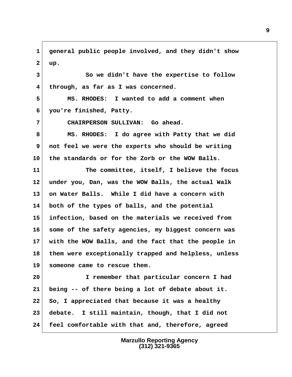**1 general public people involved, and they didn't show 2 up.**

 **3 So we didn't have the expertise to follow 4 through, as far as I was concerned.**

 **5 MS. RHODES: I wanted to add a comment when 6 you're finished, Patty.**

 **7 CHAIRPERSON SULLIVAN: Go ahead.**

 **8 MS. RHODES: I do agree with Patty that we did 9 not feel we were the experts who should be writing 10 the standards or for the Zorb or the WOW Balls.**

**11 The committee, itself, I believe the focus 12 under you, Dan, was the WOW Balls, the actual Walk 13 on Water Balls. While I did have a concern with 14 both of the types of balls, and the potential 15 infection, based on the materials we received from 16 some of the safety agencies, my biggest concern was 17 with the WOW Balls, and the fact that the people in 18 them were exceptionally trapped and helpless, unless 19 someone came to rescue them.**

**20 I remember that particular concern I had 21 being -- of there being a lot of debate about it. 22 So, I appreciated that because it was a healthy 23 debate. I still maintain, though, that I did not 24 feel comfortable with that and, therefore, agreed**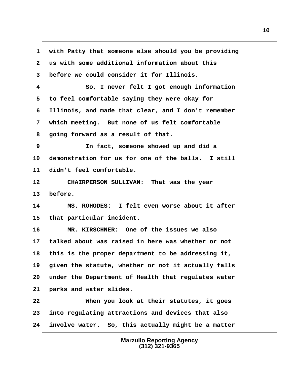**1 with Patty that someone else should you be providing 2 us with some additional information about this 3 before we could consider it for Illinois. 4 So, I never felt I got enough information 5 to feel comfortable saying they were okay for 6 Illinois, and made that clear, and I don't remember 7 which meeting. But none of us felt comfortable 8 going forward as a result of that. 9 In fact, someone showed up and did a 10 demonstration for us for one of the balls. I still 11 didn't feel comfortable. 12 CHAIRPERSON SULLIVAN: That was the year 13 before. 14 MS. ROHODES: I felt even worse about it after 15 that particular incident. 16 MR. KIRSCHNER: One of the issues we also 17 talked about was raised in here was whether or not 18 this is the proper department to be addressing it, 19 given the statute, whether or not it actually falls 20 under the Department of Health that regulates water 21 parks and water slides. 22 When you look at their statutes, it goes 23 into regulating attractions and devices that also 24 involve water. So, this actually might be a matter**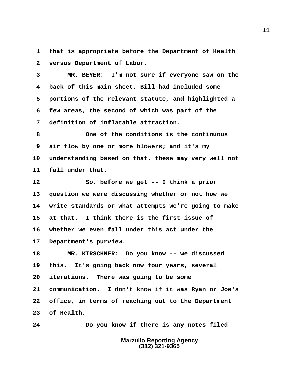**1 that is appropriate before the Department of Health 2 versus Department of Labor.**

 **3 MR. BEYER: I'm not sure if everyone saw on the 4 back of this main sheet, Bill had included some 5 portions of the relevant statute, and highlighted a 6 few areas, the second of which was part of the 7 definition of inflatable attraction.**

 **8 One of the conditions is the continuous 9 air flow by one or more blowers; and it's my 10 understanding based on that, these may very well not 11 fall under that.**

**12 So, before we get -- I think a prior 13 question we were discussing whether or not how we 14 write standards or what attempts we're going to make 15 at that. I think there is the first issue of 16 whether we even fall under this act under the 17 Department's purview.**

**18 MR. KIRSCHNER: Do you know -- we discussed 19 this. It's going back now four years, several 20 iterations. There was going to be some 21 communication. I don't know if it was Ryan or Joe's 22 office, in terms of reaching out to the Department 23 of Health.**

**24 Do you know if there is any notes filed**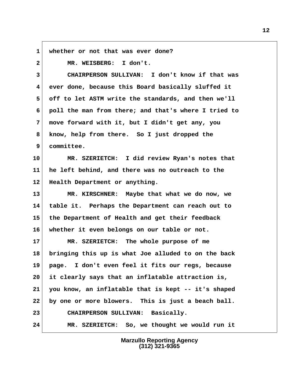**1 whether or not that was ever done?**

 **2 MR. WEISBERG: I don't.**

 **3 CHAIRPERSON SULLIVAN: I don't know if that was 4 ever done, because this Board basically sluffed it 5 off to let ASTM write the standards, and then we'll 6 poll the man from there; and that's where I tried to 7 move forward with it, but I didn't get any, you 8 know, help from there. So I just dropped the 9 committee.**

**10 MR. SZERIETCH: I did review Ryan's notes that 11 he left behind, and there was no outreach to the 12 Health Department or anything.**

**13 MR. KIRSCHNER: Maybe that what we do now, we 14 table it. Perhaps the Department can reach out to 15 the Department of Health and get their feedback 16 whether it even belongs on our table or not.**

**17 MR. SZERIETCH: The whole purpose of me 18 bringing this up is what Joe alluded to on the back 19 page. I don't even feel it fits our regs, because 20 it clearly says that an inflatable attraction is, 21 you know, an inflatable that is kept -- it's shaped 22 by one or more blowers. This is just a beach ball. 23 CHAIRPERSON SULLIVAN: Basically. 24 MR. SZERIETCH: So, we thought we would run it**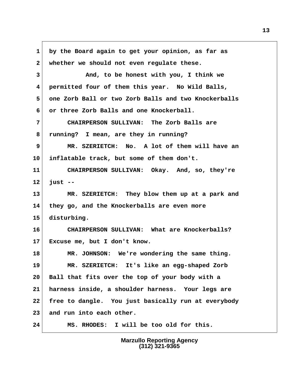**1 by the Board again to get your opinion, as far as** 2 whether we should not even regulate these.  **3 And, to be honest with you, I think we 4 permitted four of them this year. No Wild Balls, 5 one Zorb Ball or two Zorb Balls and two Knockerballs 6 or three Zorb Balls and one Knockerball. 7 CHAIRPERSON SULLIVAN: The Zorb Balls are 8 running? I mean, are they in running? 9 MR. SZERIETCH: No. A lot of them will have an 10 inflatable track, but some of them don't. 11 CHAIRPERSON SULLIVAN: Okay. And, so, they're 12 just -- 13 MR. SZERIETCH: They blow them up at a park and 14 they go, and the Knockerballs are even more 15 disturbing. 16 CHAIRPERSON SULLIVAN: What are Knockerballs? 17 Excuse me, but I don't know. 18 MR. JOHNSON: We're wondering the same thing. 19 MR. SZERIETCH: It's like an egg-shaped Zorb 20 Ball that fits over the top of your body with a 21 harness inside, a shoulder harness. Your legs are 22 free to dangle. You just basically run at everybody 23 and run into each other. 24 MS. RHODES: I will be too old for this.**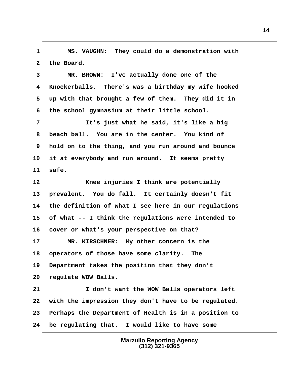**1 MS. VAUGHN: They could do a demonstration with** 2 the Board.

 **3 MR. BROWN: I've actually done one of the 4 Knockerballs. There's was a birthday my wife hooked 5 up with that brought a few of them. They did it in 6 the school gymnasium at their little school.**

 **7 It's just what he said, it's like a big 8 beach ball. You are in the center. You kind of 9 hold on to the thing, and you run around and bounce 10 it at everybody and run around. It seems pretty 11 safe.**

**12 Knee injuries I think are potentially 13 prevalent. You do fall. It certainly doesn't fit 14 the definition of what I see here in our regulations 15 of what -- I think the regulations were intended to 16 cover or what's your perspective on that? 17 MR. KIRSCHNER: My other concern is the**

**18 operators of those have some clarity. The 19 Department takes the position that they don't 20 regulate WOW Balls.**

**21 I don't want the WOW Balls operators left 22 with the impression they don't have to be regulated. 23 Perhaps the Department of Health is in a position to 24 be regulating that. I would like to have some**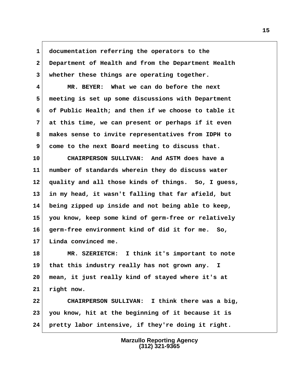**1 documentation referring the operators to the 2 Department of Health and from the Department Health 3 whether these things are operating together.**

 **4 MR. BEYER: What we can do before the next 5 meeting is set up some discussions with Department 6 of Public Health; and then if we choose to table it 7 at this time, we can present or perhaps if it even 8 makes sense to invite representatives from IDPH to 9 come to the next Board meeting to discuss that.**

**10 CHAIRPERSON SULLIVAN: And ASTM does have a 11 number of standards wherein they do discuss water 12 quality and all those kinds of things. So, I guess, 13 in my head, it wasn't falling that far afield, but 14 being zipped up inside and not being able to keep, 15 you know, keep some kind of germ-free or relatively 16 germ-free environment kind of did it for me. So, 17 Linda convinced me.**

**18 MR. SZERIETCH: I think it's important to note 19 that this industry really has not grown any. I 20 mean, it just really kind of stayed where it's at 21 right now.**

**22 CHAIRPERSON SULLIVAN: I think there was a big, 23 you know, hit at the beginning of it because it is 24 pretty labor intensive, if they're doing it right.**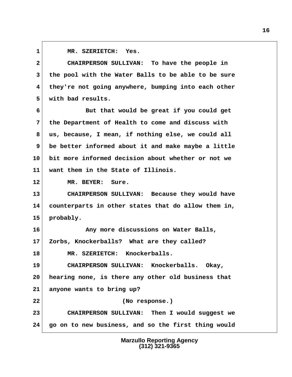**1 MR. SZERIETCH: Yes.**

 **2 CHAIRPERSON SULLIVAN: To have the people in 3 the pool with the Water Balls to be able to be sure 4 they're not going anywhere, bumping into each other 5 with bad results.**

 **6 But that would be great if you could get 7 the Department of Health to come and discuss with 8 us, because, I mean, if nothing else, we could all 9 be better informed about it and make maybe a little 10 bit more informed decision about whether or not we 11 want them in the State of Illinois.**

**12 MR. BEYER: Sure.**

**13 CHAIRPERSON SULLIVAN: Because they would have 14 counterparts in other states that do allow them in, 15 probably.**

**16 Any more discussions on Water Balls, 17 Zorbs, Knockerballs? What are they called?**

**18 MR. SZERIETCH: Knockerballs.**

**22 (No response.)**

**19 CHAIRPERSON SULLIVAN: Knockerballs. Okay, 20 hearing none, is there any other old business that 21 anyone wants to bring up?**

**23 CHAIRPERSON SULLIVAN: Then I would suggest we 24 go on to new business, and so the first thing would**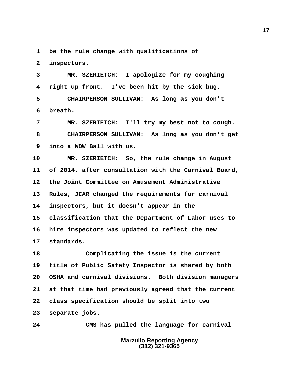**1 be the rule change with qualifications of 2 inspectors. 3 MR. SZERIETCH: I apologize for my coughing**

 **4 right up front. I've been hit by the sick bug.**

 **5 CHAIRPERSON SULLIVAN: As long as you don't 6 breath.**

 **7 MR. SZERIETCH: I'll try my best not to cough. 8 CHAIRPERSON SULLIVAN: As long as you don't get 9 into a WOW Ball with us.**

**10 MR. SZERIETCH: So, the rule change in August 11 of 2014, after consultation with the Carnival Board, 12 the Joint Committee on Amusement Administrative 13 Rules, JCAR changed the requirements for carnival 14 inspectors, but it doesn't appear in the 15 classification that the Department of Labor uses to 16 hire inspectors was updated to reflect the new 17 standards.**

**18 Complicating the issue is the current 19 title of Public Safety Inspector is shared by both 20 OSHA and carnival divisions. Both division managers 21 at that time had previously agreed that the current 22 class specification should be split into two 23 separate jobs.**

**24 CMS has pulled the language for carnival**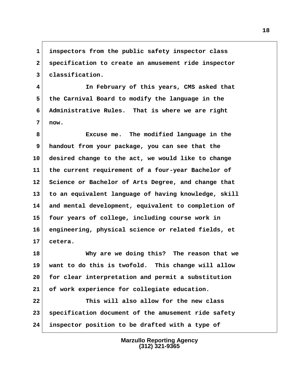**1 inspectors from the public safety inspector class 2 specification to create an amusement ride inspector 3 classification.**

 **4 In February of this years, CMS asked that 5 the Carnival Board to modify the language in the 6 Administrative Rules. That is where we are right 7 now.**

 **8 Excuse me. The modified language in the 9 handout from your package, you can see that the 10 desired change to the act, we would like to change 11 the current requirement of a four-year Bachelor of 12 Science or Bachelor of Arts Degree, and change that 13 to an equivalent language of having knowledge, skill 14 and mental development, equivalent to completion of 15 four years of college, including course work in 16 engineering, physical science or related fields, et 17 cetera.**

**18 Why are we doing this? The reason that we 19 want to do this is twofold. This change will allow 20 for clear interpretation and permit a substitution 21 of work experience for collegiate education.**

**22 This will also allow for the new class 23 specification document of the amusement ride safety 24 inspector position to be drafted with a type of**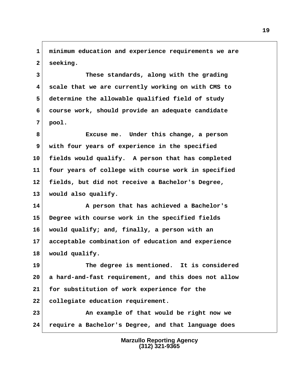**1 minimum education and experience requirements we are 2 seeking.**

 **3 These standards, along with the grading 4 scale that we are currently working on with CMS to 5 determine the allowable qualified field of study 6 course work, should provide an adequate candidate 7 pool.**

 **8 Excuse me. Under this change, a person 9 with four years of experience in the specified 10 fields would qualify. A person that has completed 11 four years of college with course work in specified 12 fields, but did not receive a Bachelor's Degree, 13 would also qualify.**

**14 A person that has achieved a Bachelor's 15 Degree with course work in the specified fields 16 would qualify; and, finally, a person with an 17 acceptable combination of education and experience 18 would qualify.**

**19 The degree is mentioned. It is considered 20 a hard-and-fast requirement, and this does not allow 21 for substitution of work experience for the 22 collegiate education requirement.**

**23 An example of that would be right now we 24 require a Bachelor's Degree, and that language does**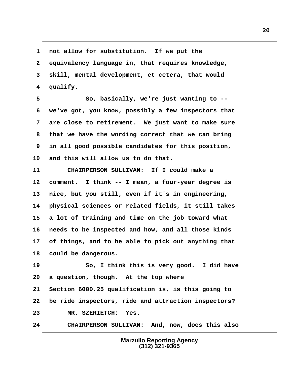**1 not allow for substitution. If we put the 2 equivalency language in, that requires knowledge, 3 skill, mental development, et cetera, that would 4 qualify.**

 **5 So, basically, we're just wanting to -- 6 we've got, you know, possibly a few inspectors that 7 are close to retirement. We just want to make sure 8 that we have the wording correct that we can bring 9 in all good possible candidates for this position, 10 and this will allow us to do that.**

**11 CHAIRPERSON SULLIVAN: If I could make a 12 comment. I think -- I mean, a four-year degree is 13 nice, but you still, even if it's in engineering, 14 physical sciences or related fields, it still takes 15 a lot of training and time on the job toward what 16 needs to be inspected and how, and all those kinds 17 of things, and to be able to pick out anything that 18 could be dangerous.**

**19 So, I think this is very good. I did have 20 a question, though. At the top where 21 Section 6000.25 qualification is, is this going to 22 be ride inspectors, ride and attraction inspectors? 23 MR. SZERIETCH: Yes. 24 CHAIRPERSON SULLIVAN: And, now, does this also**

> **Marzullo Reporting Agency (312) 321-9365**

## **20**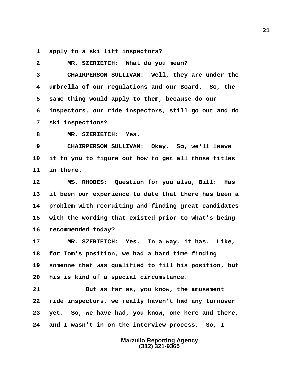**1 apply to a ski lift inspectors?**

| $\overline{\mathbf{2}}$ | MR. SZERIETCH: What do you mean?                     |
|-------------------------|------------------------------------------------------|
| 3                       | CHAIRPERSON SULLIVAN: Well, they are under the       |
| 4                       | umbrella of our regulations and our Board. So, the   |
| 5                       | same thing would apply to them, because do our       |
| 6                       | inspectors, our ride inspectors, still go out and do |
| 7                       | ski inspections?                                     |
| 8                       | MR. SZERIETCH: Yes.                                  |
| 9                       | CHAIRPERSON SULLIVAN: Okay. So, we'll leave          |
| 10                      | it to you to figure out how to get all those titles  |
| 11                      | in there.                                            |
| 12                      | MS. RHODES: Question for you also, Bill:<br>Has      |
| 13                      | it been our experience to date that there has been a |
| 14                      | problem with recruiting and finding great candidates |
| 15                      | with the wording that existed prior to what's being  |
| 16                      | recommended today?                                   |
| 17                      | MR. SZERIETCH: Yes. In a way, it has. Like,          |
| 18                      | for Tom's position, we had a hard time finding       |
| 19                      | someone that was qualified to fill his position, but |
| 20                      | his is kind of a special circumstance.               |
| 21                      | But as far as, you know, the amusement               |
| 22                      | ride inspectors, we really haven't had any turnover  |
| 23                      | yet. So, we have had, you know, one here and there,  |
| 24                      | and I wasn't in on the interview process. So, I      |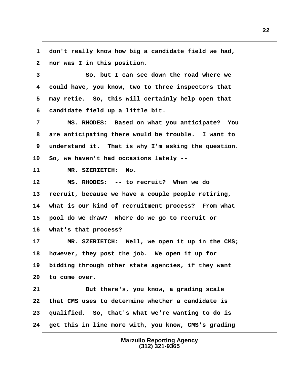**1 don't really know how big a candidate field we had, 2 nor was I in this position. 3 So, but I can see down the road where we 4 could have, you know, two to three inspectors that**

 **5 may retie. So, this will certainly help open that 6 candidate field up a little bit.**

 **7 MS. RHODES: Based on what you anticipate? You 8 are anticipating there would be trouble. I want to** 9 understand it. That is why I'm asking the question. **10 So, we haven't had occasions lately --**

**11 MR. SZERIETCH: No.**

**12 MS. RHODES: -- to recruit? When we do 13 recruit, because we have a couple people retiring, 14 what is our kind of recruitment process? From what 15 pool do we draw? Where do we go to recruit or 16 what's that process?**

**17 MR. SZERIETCH: Well, we open it up in the CMS; 18 however, they post the job. We open it up for 19 bidding through other state agencies, if they want 20 to come over.**

**21 But there's, you know, a grading scale 22 that CMS uses to determine whether a candidate is 23 qualified. So, that's what we're wanting to do is 24 get this in line more with, you know, CMS's grading**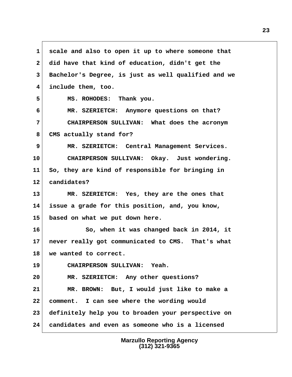**1 scale and also to open it up to where someone that 2 did have that kind of education, didn't get the 3 Bachelor's Degree, is just as well qualified and we 4 include them, too. 5 MS. ROHODES: Thank you. 6 MR. SZERIETCH: Anymore questions on that? 7 CHAIRPERSON SULLIVAN: What does the acronym 8 CMS actually stand for? 9 MR. SZERIETCH: Central Management Services. 10 CHAIRPERSON SULLIVAN: Okay. Just wondering. 11 So, they are kind of responsible for bringing in 12 candidates? 13 MR. SZERIETCH: Yes, they are the ones that 14 issue a grade for this position, and, you know, 15 based on what we put down here. 16 So, when it was changed back in 2014, it 17 never really got communicated to CMS. That's what 18 we wanted to correct. 19 CHAIRPERSON SULLIVAN: Yeah. 20 MR. SZERIETCH: Any other questions? 21 MR. BROWN: But, I would just like to make a 22 comment. I can see where the wording would 23 definitely help you to broaden your perspective on 24 candidates and even as someone who is a licensed**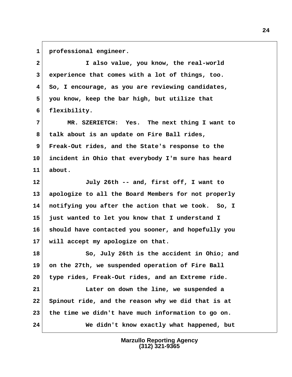**1 professional engineer.**

 **2 I also value, you know, the real-world 3 experience that comes with a lot of things, too. 4 So, I encourage, as you are reviewing candidates, 5 you know, keep the bar high, but utilize that 6 flexibility. 7 MR. SZERIETCH: Yes. The next thing I want to 8 talk about is an update on Fire Ball rides, 9 Freak-Out rides, and the State's response to the 10 incident in Ohio that everybody I'm sure has heard 11 about. 12 July 26th -- and, first off, I want to 13 apologize to all the Board Members for not properly 14 notifying you after the action that we took. So, I 15 just wanted to let you know that I understand I 16 should have contacted you sooner, and hopefully you 17 will accept my apologize on that. 18 So, July 26th is the accident in Ohio; and 19 on the 27th, we suspended operation of Fire Ball 20 type rides, Freak-Out rides, and an Extreme ride. 21 Later on down the line, we suspended a 22 Spinout ride, and the reason why we did that is at 23 the time we didn't have much information to go on. 24 We didn't know exactly what happened, but**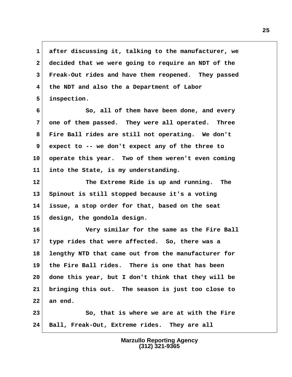**1 after discussing it, talking to the manufacturer, we 2 decided that we were going to require an NDT of the 3 Freak-Out rides and have them reopened. They passed 4 the NDT and also the a Department of Labor 5 inspection.**

 **6 So, all of them have been done, and every 7 one of them passed. They were all operated. Three 8 Fire Ball rides are still not operating. We don't 9 expect to -- we don't expect any of the three to 10 operate this year. Two of them weren't even coming 11 into the State, is my understanding.**

**12 The Extreme Ride is up and running. The 13 Spinout is still stopped because it's a voting 14 issue, a stop order for that, based on the seat 15 design, the gondola design.**

**16 Very similar for the same as the Fire Ball 17 type rides that were affected. So, there was a 18 lengthy NTD that came out from the manufacturer for 19 the Fire Ball rides. There is one that has been 20 done this year, but I don't think that they will be 21 bringing this out. The season is just too close to 22 an end.**

**23 So, that is where we are at with the Fire 24 Ball, Freak-Out, Extreme rides. They are all**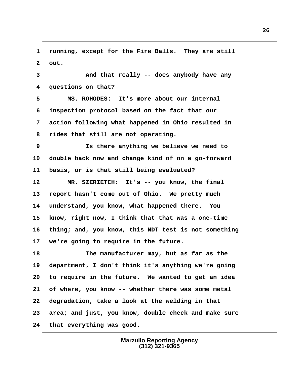**1 running, except for the Fire Balls. They are still 2 out.**

 **3 And that really -- does anybody have any 4 questions on that?**

 **5 MS. ROHODES: It's more about our internal 6 inspection protocol based on the fact that our 7 action following what happened in Ohio resulted in 8 rides that still are not operating.**

 **9 Is there anything we believe we need to 10 double back now and change kind of on a go-forward 11 basis, or is that still being evaluated?**

**12 MR. SZERIETCH: It's -- you know, the final 13 report hasn't come out of Ohio. We pretty much 14 understand, you know, what happened there. You 15 know, right now, I think that that was a one-time 16 thing; and, you know, this NDT test is not something 17 we're going to require in the future.**

**18 The manufacturer may, but as far as the 19 department, I don't think it's anything we're going 20 to require in the future. We wanted to get an idea 21 of where, you know -- whether there was some metal 22 degradation, take a look at the welding in that 23 area; and just, you know, double check and make sure 24 that everything was good.**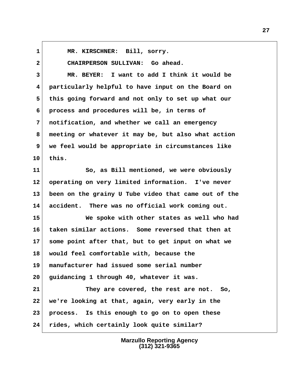**1 MR. KIRSCHNER: Bill, sorry.**

 **2 CHAIRPERSON SULLIVAN: Go ahead. 3 MR. BEYER: I want to add I think it would be 4 particularly helpful to have input on the Board on 5 this going forward and not only to set up what our 6 process and procedures will be, in terms of 7 notification, and whether we call an emergency 8 meeting or whatever it may be, but also what action 9 we feel would be appropriate in circumstances like 10 this. 11 So, as Bill mentioned, we were obviously 12 operating on very limited information. I've never 13 been on the grainy U Tube video that came out of the 14 accident. There was no official work coming out. 15 We spoke with other states as well who had**

**16 taken similar actions. Some reversed that then at 17 some point after that, but to get input on what we 18 would feel comfortable with, because the 19 manufacturer had issued some serial number 20 guidancing 1 through 40, whatever it was. 21 They are covered, the rest are not. So,**

**22 we're looking at that, again, very early in the 23 process. Is this enough to go on to open these 24 rides, which certainly look quite similar?**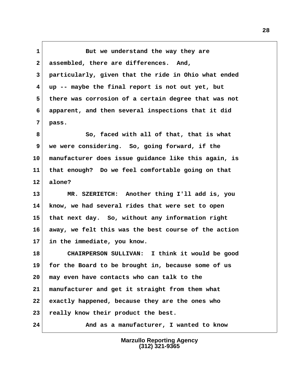**1** But we understand the way they are  **2 assembled, there are differences. And, 3 particularly, given that the ride in Ohio what ended 4 up -- maybe the final report is not out yet, but 5 there was corrosion of a certain degree that was not 6 apparent, and then several inspections that it did 7 pass.**

 **8 So, faced with all of that, that is what 9 we were considering. So, going forward, if the 10 manufacturer does issue guidance like this again, is 11 that enough? Do we feel comfortable going on that 12 alone?**

**13 MR. SZERIETCH: Another thing I'll add is, you 14 know, we had several rides that were set to open 15 that next day. So, without any information right 16 away, we felt this was the best course of the action 17 in the immediate, you know.**

**18 CHAIRPERSON SULLIVAN: I think it would be good 19 for the Board to be brought in, because some of us 20 may even have contacts who can talk to the 21 manufacturer and get it straight from them what 22 exactly happened, because they are the ones who 23 really know their product the best.**

**24 And as a manufacturer, I wanted to know**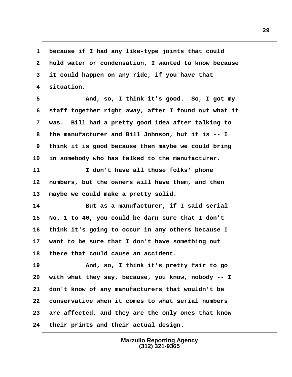**1 because if I had any like-type joints that could 2 hold water or condensation, I wanted to know because 3 it could happen on any ride, if you have that 4 situation.**

 **5 And, so, I think it's good. So, I got my 6 staff together right away, after I found out what it 7 was. Bill had a pretty good idea after talking to 8 the manufacturer and Bill Johnson, but it is -- I 9 think it is good because then maybe we could bring 10 in somebody who has talked to the manufacturer.**

**11 I don't have all those folks' phone 12 numbers, but the owners will have them, and then 13 maybe we could make a pretty solid.**

**14 But as a manufacturer, if I said serial 15 No. 1 to 40, you could be darn sure that I don't 16 think it's going to occur in any others because I 17 want to be sure that I don't have something out 18 there that could cause an accident.**

**19 And, so, I think it's pretty fair to go 20 with what they say, because, you know, nobody -- I 21 don't know of any manufacturers that wouldn't be 22 conservative when it comes to what serial numbers 23 are affected, and they are the only ones that know 24 their prints and their actual design.**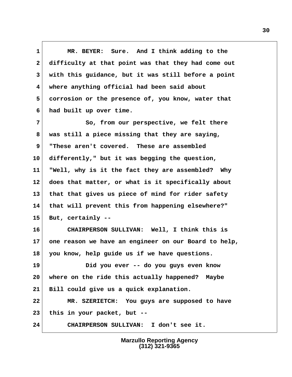**1 MR. BEYER: Sure. And I think adding to the 2 difficulty at that point was that they had come out 3 with this guidance, but it was still before a point 4 where anything official had been said about 5 corrosion or the presence of, you know, water that 6 had built up over time.**

 **7 So, from our perspective, we felt there 8 was still a piece missing that they are saying, 9 "These aren't covered. These are assembled 10 differently," but it was begging the question, 11 "Well, why is it the fact they are assembled? Why 12 does that matter, or what is it specifically about 13 that that gives us piece of mind for rider safety 14 that will prevent this from happening elsewhere?" 15 But, certainly --**

**16 CHAIRPERSON SULLIVAN: Well, I think this is 17 one reason we have an engineer on our Board to help, 18 you know, help guide us if we have questions.**

**19 Did you ever -- do you guys even know 20 where on the ride this actually happened? Maybe 21 Bill could give us a quick explanation.**

**22 MR. SZERIETCH: You guys are supposed to have 23 this in your packet, but --**

**24 CHAIRPERSON SULLIVAN: I don't see it.**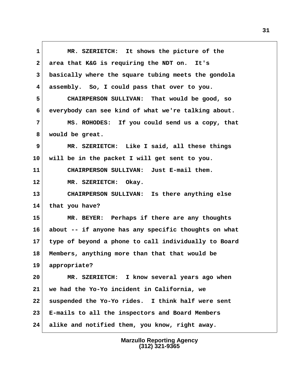**1 MR. SZERIETCH: It shows the picture of the 2 area that K&G is requiring the NDT on. It's 3 basically where the square tubing meets the gondola 4 assembly. So, I could pass that over to you. 5 CHAIRPERSON SULLIVAN: That would be good, so 6 everybody can see kind of what we're talking about. 7 MS. ROHODES: If you could send us a copy, that 8 would be great. 9 MR. SZERIETCH: Like I said, all these things 10 will be in the packet I will get sent to you. 11 CHAIRPERSON SULLIVAN: Just E-mail them. 12 MR. SZERIETCH: Okay. 13 CHAIRPERSON SULLIVAN: Is there anything else 14 that you have? 15 MR. BEYER: Perhaps if there are any thoughts 16 about -- if anyone has any specific thoughts on what 17 type of beyond a phone to call individually to Board 18 Members, anything more than that that would be 19 appropriate? 20 MR. SZERIETCH: I know several years ago when 21 we had the Yo-Yo incident in California, we 22 suspended the Yo-Yo rides. I think half were sent 23 E-mails to all the inspectors and Board Members 24 alike and notified them, you know, right away.**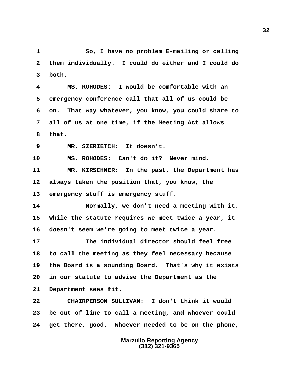**1 So, I have no problem E-mailing or calling 2 them individually. I could do either and I could do 3 both. 4 MS. ROHODES: I would be comfortable with an 5 emergency conference call that all of us could be 6 on. That way whatever, you know, you could share to 7 all of us at one time, if the Meeting Act allows 8 that. 9 MR. SZERIETCH: It doesn't. 10 MS. ROHODES: Can't do it? Never mind. 11 MR. KIRSCHNER: In the past, the Department has 12 always taken the position that, you know, the 13 emergency stuff is emergency stuff. 14 Normally, we don't need a meeting with it. 15 While the statute requires we meet twice a year, it 16 doesn't seem we're going to meet twice a year. 17 The individual director should feel free 18 to call the meeting as they feel necessary because 19 the Board is a sounding Board. That's why it exists 20 in our statute to advise the Department as the 21 Department sees fit. 22 CHAIRPERSON SULLIVAN: I don't think it would 23 be out of line to call a meeting, and whoever could 24 get there, good. Whoever needed to be on the phone,**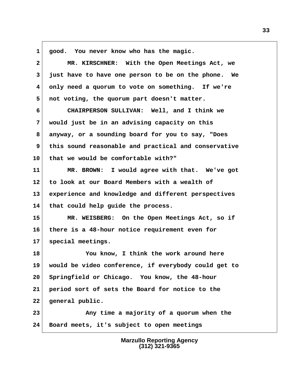**1 good. You never know who has the magic.**

| $\mathbf{2}$ | MR. KIRSCHNER: With the Open Meetings Act, we        |
|--------------|------------------------------------------------------|
| 3            | just have to have one person to be on the phone. We  |
| 4            | only need a quorum to vote on something. If we're    |
| 5            | not voting, the quorum part doesn't matter.          |
| 6            | CHAIRPERSON SULLIVAN: Well, and I think we           |
| 7            | would just be in an advising capacity on this        |
| 8            | anyway, or a sounding board for you to say, "Does    |
| 9            | this sound reasonable and practical and conservative |
| 10           | that we would be comfortable with?"                  |
| 11           | MR. BROWN: I would agree with that. We've got        |
| 12           | to look at our Board Members with a wealth of        |
| 13           | experience and knowledge and different perspectives  |
| 14           | that could help guide the process.                   |
| 15           | MR. WEISBERG: On the Open Meetings Act, so if        |
| 16           | there is a 48-hour notice requirement even for       |
| 17           | special meetings.                                    |
| 18           | You know, I think the work around here               |
| 19           | would be video conference, if everybody could get to |
| 20           | Springfield or Chicago. You know, the 48-hour        |
| 21           | period sort of sets the Board for notice to the      |
| 22           | general public.                                      |
| 23           | Any time a majority of a quorum when the             |
| 24           | Board meets, it's subject to open meetings           |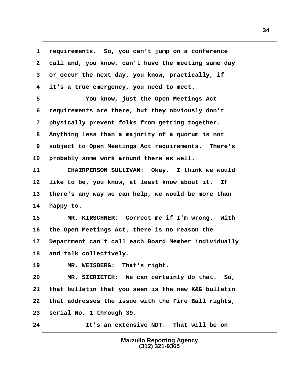**1 requirements. So, you can't jump on a conference 2 call and, you know, can't have the meeting same day** 3 or occur the next day, you know, practically, if  **4 it's a true emergency, you need to meet. 5 You know, just the Open Meetings Act 6 requirements are there, but they obviously don't 7 physically prevent folks from getting together. 8 Anything less than a majority of a quorum is not 9 subject to Open Meetings Act requirements. There's 10 probably some work around there as well. 11 CHAIRPERSON SULLIVAN: Okay. I think we would 12 like to be, you know, at least know about it. If 13 there's any way we can help, we would be more than 14 happy to. 15 MR. KIRSCHNER: Correct me if I'm wrong. With 16 the Open Meetings Act, there is no reason the 17 Department can't call each Board Member individually 18 and talk collectively. 19 MR. WEISBERG: That's right. 20 MR. SZERIETCH: We can certainly do that. So, 21 that bulletin that you seen is the new K&G bulletin 22 that addresses the issue with the Fire Ball rights, 23 serial No. 1 through 39. 24 It's an extensive NDT. That will be on**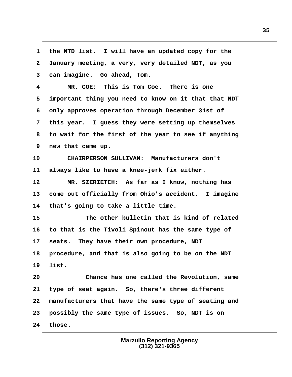**1 the NTD list. I will have an updated copy for the 2 January meeting, a very, very detailed NDT, as you 3 can imagine. Go ahead, Tom. 4 MR. COE: This is Tom Coe. There is one 5 important thing you need to know on it that that NDT 6 only approves operation through December 31st of 7 this year. I guess they were setting up themselves 8 to wait for the first of the year to see if anything 9 new that came up. 10 CHAIRPERSON SULLIVAN: Manufacturers don't 11 always like to have a knee-jerk fix either. 12 MR. SZERIETCH: As far as I know, nothing has 13 come out officially from Ohio's accident. I imagine 14 that's going to take a little time. 15 The other bulletin that is kind of related 16 to that is the Tivoli Spinout has the same type of 17 seats. They have their own procedure, NDT 18 procedure, and that is also going to be on the NDT 19 list. 20 Chance has one called the Revolution, same 21 type of seat again. So, there's three different 22 manufacturers that have the same type of seating and 23 possibly the same type of issues. So, NDT is on 24 those.**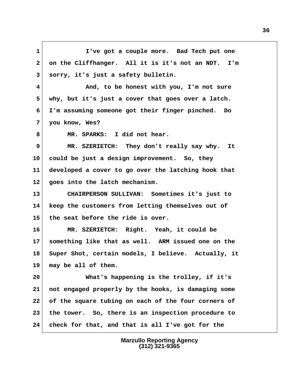**1 I've got a couple more. Bad Tech put one 2 on the Cliffhanger. All it is it's not an NDT. I'm 3 sorry, it's just a safety bulletin. 4 And, to be honest with you, I'm not sure 5 why, but it's just a cover that goes over a latch. 6 I'm assuming someone got their finger pinched. Do 7 you know, Wes?** 8 MR. SPARKS: I did not hear.  **9 MR. SZERIETCH: They don't really say why. It 10 could be just a design improvement. So, they 11 developed a cover to go over the latching hook that 12 goes into the latch mechanism. 13 CHAIRPERSON SULLIVAN: Sometimes it's just to 14 keep the customers from letting themselves out of 15 the seat before the ride is over. 16 MR. SZERIETCH: Right. Yeah, it could be 17 something like that as well. ARM issued one on the 18 Super Shot, certain models, I believe. Actually, it 19 may be all of them. 20 What's happening is the trolley, if it's 21 not engaged properly by the hooks, is damaging some 22 of the square tubing on each of the four corners of 23 the tower. So, there is an inspection procedure to 24 check for that, and that is all I've got for the**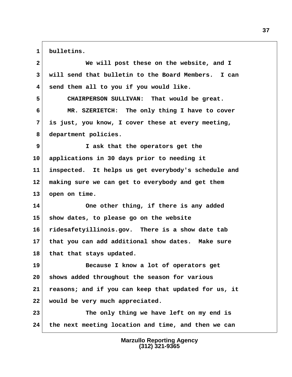1 bulletins.

| $\mathbf{2}$    | We will post these on the website, and I             |
|-----------------|------------------------------------------------------|
| 3               | will send that bulletin to the Board Members. I can  |
| 4               | send them all to you if you would like.              |
| 5               | CHAIRPERSON SULLIVAN: That would be great.           |
| 6               | MR. SZERIETCH: The only thing I have to cover        |
| 7               | is just, you know, I cover these at every meeting,   |
| 8               | department policies.                                 |
| 9               | I ask that the operators get the                     |
| 10 <sub>1</sub> | applications in 30 days prior to needing it          |
| 11              | inspected. It helps us get everybody's schedule and  |
| 12 <sub>2</sub> | making sure we can get to everybody and get them     |
| 13              | open on time.                                        |
| 14              | One other thing, if there is any added               |
| 15 <sub>2</sub> | show dates, to please go on the website              |
| 16              | ridesafetyillinois.gov. There is a show date tab     |
| 17 <sub>2</sub> | that you can add additional show dates. Make sure    |
| 18              | that that stays updated.                             |
| 19              | Because I know a lot of operators get                |
| 20              | shows added throughout the season for various        |
| 21              | reasons; and if you can keep that updated for us, it |
| 22              | would be very much appreciated.                      |
| 23              | The only thing we have left on my end is             |
| 24              | the next meeting location and time, and then we can  |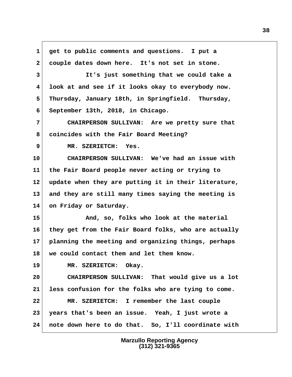**1 get to public comments and questions. I put a 2 couple dates down here. It's not set in stone. 3 It's just something that we could take a 4 look at and see if it looks okay to everybody now. 5 Thursday, January 18th, in Springfield. Thursday, 6 September 13th, 2018, in Chicago. 7 CHAIRPERSON SULLIVAN: Are we pretty sure that 8 coincides with the Fair Board Meeting? 9 MR. SZERIETCH: Yes. 10 CHAIRPERSON SULLIVAN: We've had an issue with 11 the Fair Board people never acting or trying to 12 update when they are putting it in their literature, 13 and they are still many times saying the meeting is 14 on Friday or Saturday. 15 And, so, folks who look at the material 16 they get from the Fair Board folks, who are actually 17 planning the meeting and organizing things, perhaps 18 we could contact them and let them know. 19 MR. SZERIETCH: Okay. 20 CHAIRPERSON SULLIVAN: That would give us a lot 21 less confusion for the folks who are tying to come. 22 MR. SZERIETCH: I remember the last couple 23 years that's been an issue. Yeah, I just wrote a 24 note down here to do that. So, I'll coordinate with**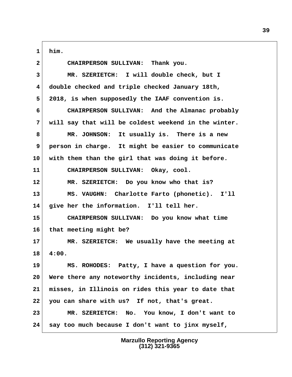**1 him. 2 CHAIRPERSON SULLIVAN: Thank you. 3 MR. SZERIETCH: I will double check, but I 4 double checked and triple checked January 18th, 5 2018, is when supposedly the IAAF convention is. 6 CHAIRPERSON SULLIVAN: And the Almanac probably 7 will say that will be coldest weekend in the winter. 8 MR. JOHNSON: It usually is. There is a new 9 person in charge. It might be easier to communicate 10 with them than the girl that was doing it before. 11 CHAIRPERSON SULLIVAN: Okay, cool. 12 MR. SZERIETCH: Do you know who that is? 13 MS. VAUGHN: Charlotte Farto (phonetic). I'll 14 give her the information. I'll tell her. 15 CHAIRPERSON SULLIVAN: Do you know what time 16 that meeting might be? 17 MR. SZERIETCH: We usually have the meeting at 18 4:00. 19 MS. ROHODES: Patty, I have a question for you. 20 Were there any noteworthy incidents, including near 21 misses, in Illinois on rides this year to date that 22 you can share with us? If not, that's great. 23 MR. SZERIETCH: No. You know, I don't want to 24 say too much because I don't want to jinx myself,**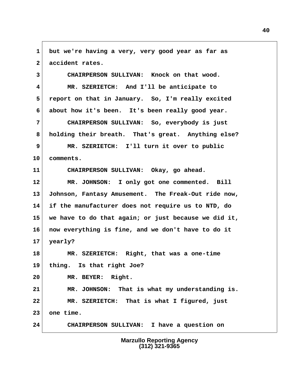**1 but we're having a very, very good year as far as** 2 accident rates.

 **3 CHAIRPERSON SULLIVAN: Knock on that wood. 4 MR. SZERIETCH: And I'll be anticipate to 5 report on that in January. So, I'm really excited 6 about how it's been. It's been really good year.**

 **7 CHAIRPERSON SULLIVAN: So, everybody is just 8 holding their breath. That's great. Anything else? 9 MR. SZERIETCH: I'll turn it over to public**

**10 comments.**

**11 CHAIRPERSON SULLIVAN: Okay, go ahead.**

**12 MR. JOHNSON: I only got one commented. Bill 13 Johnson, Fantasy Amusement. The Freak-Out ride now, 14 if the manufacturer does not require us to NTD, do 15 we have to do that again; or just because we did it, 16 now everything is fine, and we don't have to do it 17 yearly?**

**18 MR. SZERIETCH: Right, that was a one-time 19 thing. Is that right Joe?**

**20 MR. BEYER: Right.**

**21 MR. JOHNSON: That is what my understanding is. 22 MR. SZERIETCH: That is what I figured, just 23 one time.**

**24 CHAIRPERSON SULLIVAN: I have a question on**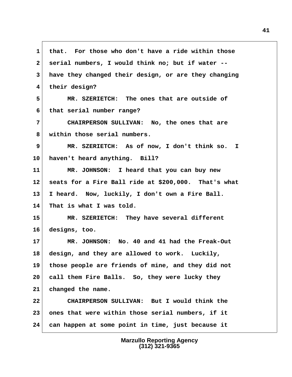**1 that. For those who don't have a ride within those 2 serial numbers, I would think no; but if water -- 3 have they changed their design, or are they changing 4 their design? 5 MR. SZERIETCH: The ones that are outside of 6 that serial number range? 7 CHAIRPERSON SULLIVAN: No, the ones that are 8 within those serial numbers. 9 MR. SZERIETCH: As of now, I don't think so. I 10 haven't heard anything. Bill? 11 MR. JOHNSON: I heard that you can buy new 12 seats for a Fire Ball ride at \$200,000. That's what 13 I heard. Now, luckily, I don't own a Fire Ball. 14 That is what I was told. 15 MR. SZERIETCH: They have several different 16 designs, too. 17 MR. JOHNSON: No. 40 and 41 had the Freak-Out 18 design, and they are allowed to work. Luckily, 19 those people are friends of mine, and they did not 20 call them Fire Balls. So, they were lucky they 21 changed the name. 22 CHAIRPERSON SULLIVAN: But I would think the 23 ones that were within those serial numbers, if it 24 can happen at some point in time, just because it**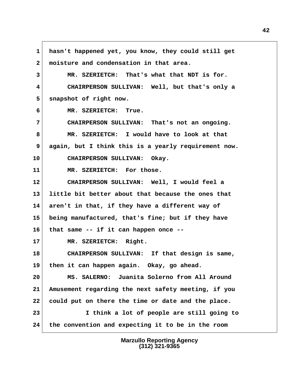**1 hasn't happened yet, you know, they could still get 2 moisture and condensation in that area. 3 MR. SZERIETCH: That's what that NDT is for. 4 CHAIRPERSON SULLIVAN: Well, but that's only a** 5 snapshot of right now.  **6 MR. SZERIETCH: True. 7 CHAIRPERSON SULLIVAN: That's not an ongoing. 8 MR. SZERIETCH: I would have to look at that 9 again, but I think this is a yearly requirement now. 10 CHAIRPERSON SULLIVAN: Okay. 11 MR. SZERIETCH: For those. 12 CHAIRPERSON SULLIVAN: Well, I would feel a 13 little bit better about that because the ones that 14 aren't in that, if they have a different way of 15 being manufactured, that's fine; but if they have 16 that same -- if it can happen once -- 17 MR. SZERIETCH: Right. 18 CHAIRPERSON SULLIVAN: If that design is same, 19 then it can happen again. Okay, go ahead. 20 MS. SALERNO: Juanita Solerno from All Around 21 Amusement regarding the next safety meeting, if you 22 could put on there the time or date and the place. 23 I think a lot of people are still going to 24 the convention and expecting it to be in the room**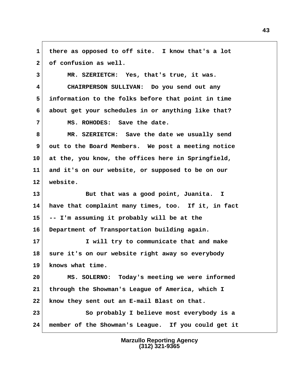**1 there as opposed to off site. I know that's a lot** 2 of confusion as well.

 **3 MR. SZERIETCH: Yes, that's true, it was.**

 **4 CHAIRPERSON SULLIVAN: Do you send out any 5 information to the folks before that point in time 6 about get your schedules in or anything like that?**

 **7 MS. ROHODES: Save the date.**

 **8 MR. SZERIETCH: Save the date we usually send** 9 out to the Board Members. We post a meeting notice **10 at the, you know, the offices here in Springfield, 11 and it's on our website, or supposed to be on our 12 website.**

**13 But that was a good point, Juanita. I 14 have that complaint many times, too. If it, in fact 15 -- I'm assuming it probably will be at the 16 Department of Transportation building again.**

**17 I will try to communicate that and make 18 sure it's on our website right away so everybody 19 knows what time.**

**20 MS. SOLERNO: Today's meeting we were informed 21 through the Showman's League of America, which I 22 know they sent out an E-mail Blast on that. 23 So probably I believe most everybody is a 24 member of the Showman's League. If you could get it**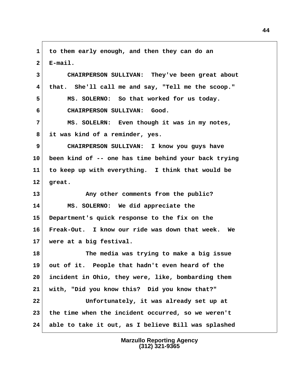**1 to them early enough, and then they can do an**  $2 \times$ **E-mail. 3 CHAIRPERSON SULLIVAN: They've been great about 4 that. She'll call me and say, "Tell me the scoop." 5 MS. SOLERNO: So that worked for us today. 6 CHAIRPERSON SULLIVAN: Good. 7 MS. SOLELRN: Even though it was in my notes, 8 it was kind of a reminder, yes. 9 CHAIRPERSON SULLIVAN: I know you guys have 10 been kind of -- one has time behind your back trying 11 to keep up with everything. I think that would be 12 great. 13 Any other comments from the public? 14 MS. SOLERNO: We did appreciate the 15 Department's quick response to the fix on the 16 Freak-Out. I know our ride was down that week. We 17 were at a big festival. 18 The media was trying to make a big issue 19 out of it. People that hadn't even heard of the 20 incident in Ohio, they were, like, bombarding them 21 with, "Did you know this? Did you know that?" 22 Unfortunately, it was already set up at 23 the time when the incident occurred, so we weren't 24 able to take it out, as I believe Bill was splashed**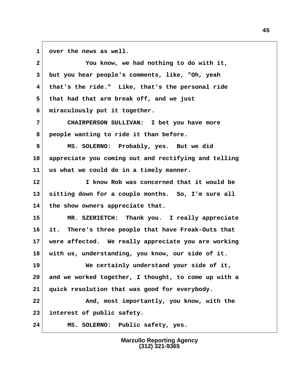**1 over the news as well.**

 **2 You know, we had nothing to do with it, 3 but you hear people's comments, like, "Oh, yeah 4 that's the ride." Like, that's the personal ride 5 that had that arm break off, and we just 6 miraculously put it together. 7 CHAIRPERSON SULLIVAN: I bet you have more 8 people wanting to ride it than before. 9 MS. SOLERNO: Probably, yes. But we did 10 appreciate you coming out and rectifying and telling 11 us what we could do in a timely manner. 12 I know Rob was concerned that it would be 13 sitting down for a couple months. So, I'm sure all 14 the show owners appreciate that. 15 MR. SZERIETCH: Thank you. I really appreciate 16 it. There's three people that have Freak-Outs that 17 were affected. We really appreciate you are working 18 with us, understanding, you know, our side of it. 19 We certainly understand your side of it, 20 and we worked together, I thought, to come up with a 21 quick resolution that was good for everybody. 22 And, most importantly, you know, with the 23 interest of public safety. 24 MS. SOLERNO: Public safety, yes.**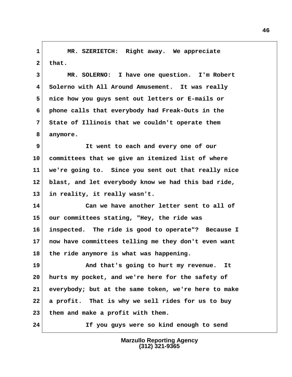**1 MR. SZERIETCH: Right away. We appreciate**  $2$  that.

 **3 MR. SOLERNO: I have one question. I'm Robert 4 Solerno with All Around Amusement. It was really 5 nice how you guys sent out letters or E-mails or 6 phone calls that everybody had Freak-Outs in the 7 State of Illinois that we couldn't operate them 8 anymore.**

 **9 It went to each and every one of our 10 committees that we give an itemized list of where 11 we're going to. Since you sent out that really nice 12 blast, and let everybody know we had this bad ride, 13 in reality, it really wasn't.**

**14 Can we have another letter sent to all of 15 our committees stating, "Hey, the ride was 16 inspected. The ride is good to operate"? Because I 17 now have committees telling me they don't even want 18 the ride anymore is what was happening.**

**19 And that's going to hurt my revenue. It 20 hurts my pocket, and we're here for the safety of 21 everybody; but at the same token, we're here to make 22 a profit. That is why we sell rides for us to buy 23 them and make a profit with them.**

**24 If you guys were so kind enough to send**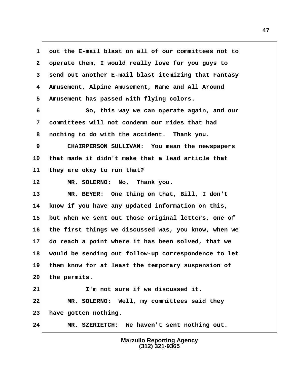**1 out the E-mail blast on all of our committees not to 2 operate them, I would really love for you guys to 3 send out another E-mail blast itemizing that Fantasy 4 Amusement, Alpine Amusement, Name and All Around 5 Amusement has passed with flying colors. 6 So, this way we can operate again, and our 7 committees will not condemn our rides that had 8 nothing to do with the accident. Thank you. 9 CHAIRPERSON SULLIVAN: You mean the newspapers 10 that made it didn't make that a lead article that 11 they are okay to run that? 12 MR. SOLERNO: No. Thank you. 13 MR. BEYER: One thing on that, Bill, I don't 14 know if you have any updated information on this, 15 but when we sent out those original letters, one of 16 the first things we discussed was, you know, when we 17 do reach a point where it has been solved, that we 18 would be sending out follow-up correspondence to let 19 them know for at least the temporary suspension of 20 the permits. 21 I'm not sure if we discussed it. 22 MR. SOLERNO: Well, my committees said they 23 have gotten nothing. 24 MR. SZERIETCH: We haven't sent nothing out.**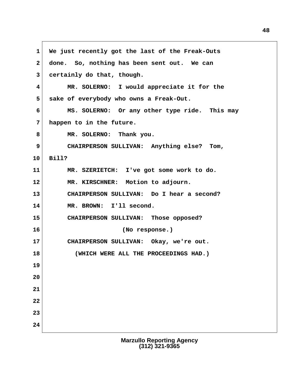**1 We just recently got the last of the Freak-Outs 2 done. So, nothing has been sent out. We can 3 certainly do that, though. 4 MR. SOLERNO: I would appreciate it for the 5 sake of everybody who owns a Freak-Out. 6 MS. SOLERNO: Or any other type ride. This may 7 happen to in the future.** 8 MR. SOLERNO: Thank you.  **9 CHAIRPERSON SULLIVAN: Anything else? Tom, 10 Bill? 11 MR. SZERIETCH: I've got some work to do. 12 MR. KIRSCHNER: Motion to adjourn. 13 CHAIRPERSON SULLIVAN: Do I hear a second? 14 MR. BROWN: I'll second. 15 CHAIRPERSON SULLIVAN: Those opposed? 16 (No response.) 17 CHAIRPERSON SULLIVAN: Okay, we're out. 18 (WHICH WERE ALL THE PROCEEDINGS HAD.) 19 20 21 22 23 24**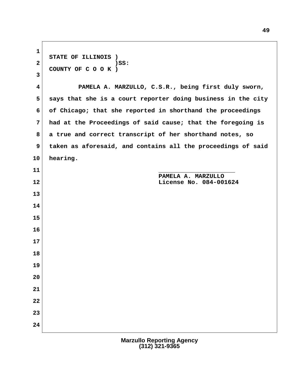**1 STATE OF ILLINOIS )** 2 ) SS:  **COUNTY OF C O O K ) 3 4 PAMELA A. MARZULLO, C.S.R., being first duly sworn, 5 says that she is a court reporter doing business in the city 6 of Chicago; that she reported in shorthand the proceedings 7 had at the Proceedings of said cause; that the foregoing is 8 a true and correct transcript of her shorthand notes, so 9 taken as aforesaid, and contains all the proceedings of said 10 hearing. 11**  $\overline{\phantom{a}}$  **PAMELA A. MARZULLO 12 License No. 084-001624 13 14 15 16 17 18 19 20 21 22 23 24**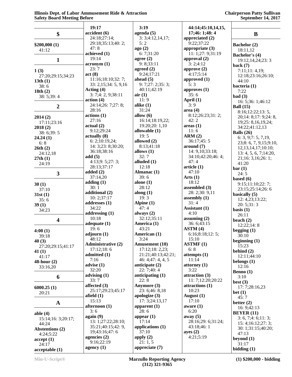## **Chairperson Patty Sullivan September 14, 2017**

|                           | 19:17                                    | 3:19                              | 44:14;45:10,14,15,                     |                                                    |
|---------------------------|------------------------------------------|-----------------------------------|----------------------------------------|----------------------------------------------------|
| \$                        | accident (6)                             | $a$ genda $(5)$                   | 17;46: 1;48: 4                         | $\bf{B}$                                           |
|                           | 24:18;27:14;                             | 3:3;4:12,14,17;                   | appreciated $(2)$                      |                                                    |
| \$200,000(1)              | 29:18;35:13;40: 2;                       | 5:2                               | 9:22;37:22                             | Bachelor (2)                                       |
| 41:12                     | 47:8<br>achieved (1)                     | ago(2)<br>6:7;31:20               | appropriate $(3)$<br>11: 1;27: 9;31:19 | 18:11,12                                           |
|                           | 19:14                                    | agree $(2)$                       | approval (2)                           | Bachelor's (4)                                     |
| $\mathbf{1}$              | acronym(1)                               | 9: 8; 33:11                       | 3: 2; 4: 12                            | 19:12, 14, 24; 23: 3                               |
| 1(3)                      | 23:7                                     | agreed $(2)$                      | approve $(2)$                          | back $(7)$<br>7:11;11:4,19;                        |
| 27:20;29:15;34:23         | act(8)                                   | 9:24;17:21                        | 4:17;5:14                              | 12:18;23:16;26:10;                                 |
| 13th(1)                   | 11:16;18:10;32:7;                        | ahead $(5)$                       | approved (1)                           | 44:10                                              |
| 38:6                      | 33: 2,15;34: 5, 9,16                     | 9: 7:27:2:35:3;                   | 5:3                                    | bacteria (1)                                       |
| 18th $(2)$                | Acting $(4)$<br>3: 7;4: 2, 9;38:11       | 40:11;42:19<br>air(1)             | approves $(1)$<br>35:6                 | 7:22                                               |
| 38: 5;39: 4               | action(4)                                | 11:9                              | April $(1)$                            | bad(3)                                             |
| $\boldsymbol{2}$          | 24:14;26: 7;27: 8;                       | alike $(1)$                       | 3:9                                    | 16: 5;36: 1;46:12<br><b>Ball</b> (15)              |
|                           | 28:16                                    | 31:24                             | area(4)                                | 8:16;12:22;13:5,                                   |
| 2014(2)                   | actions(1)                               | allow $(6)$                       | 8:12;26:23;31:2;                       | 20;14: 8;17: 9;24: 8,                              |
| 17:11;23:16               | 27:16                                    | 16:14;18:19,22;                   | 42:2                                   | 19;25: 8,16,19,24;                                 |
| 2018(2)                   | actual(2)<br>9:12;29:24                  | 19:20;20: 1,10<br>allowable $(1)$ | areas(1)<br>11:6                       | 34:22;41:12,13                                     |
| 38: 6;39: 5               | actually (8)                             | 19:5                              | ARM(2)                                 | Balls $(26)$                                       |
| 24.24(1)                  | 6: 2; 10: 19, 24;                        | allowed (2)                       | 36:17;45:5                             | 6: 3, 9; 7: 5, 7, 19,                              |
| 6:8<br>26th(2)            | 14: 3;23: 8;30:20;                       | 8:13:41:18                        | around (7)                             | 23;8: 6, 7, 9, 15;9:10,<br>12, 13, 14, 17; 10: 10; |
| 24:12,18                  | 36:18;38:16                              | allows $(1)$                      | 14: 9,10;33:18;                        | 13: 4, 5, 6, 7; 14: 20,                            |
| 27th(1)                   | add(5)                                   | 32:7                              | 34:10;42:20;46:4;                      | 21;16: 3,16;26: 1;                                 |
| 24:19                     | 4:13;9:5;27:3;                           | alluded $(1)$                     | 47:4                                   | 41:20                                              |
|                           | 28:13:37:17<br>added $(2)$               | 12:18<br>Almanac (1)              | article <sub>(1)</sub><br>47:10        | bar(1)                                             |
| $\overline{\mathbf{3}}$   | 37:14,20                                 | 39:6                              | Arts(1)                                | 24:5                                               |
|                           | adding $(1)$                             | alone $(1)$                       | 18:12                                  | based $(6)$<br>9:15;11:10;22:7;                    |
| 30(1)<br>37:10            | 30:1                                     | 28:12                             | assembled (3)                          | 23:15;25:14;26:6                                   |
| 31st(1)                   | additional (2)                           | along $(1)$                       | 28: 2;30: 9,11                         | basically $(5)$                                    |
| 35:6                      | 10: 2; 37: 17                            | 19:3                              | assembly $(1)$                         | 12: 4,23;13:22;                                    |
| 39(1)                     | addresses $(1)$<br>34:22                 | Alpine (1)<br>47:4                | 31:4                                   | 20: 5; 31: 3                                       |
| 34:23                     | addressing $(1)$                         | always $(2)$                      | Assistant (1)<br>4:10                  | basis $(1)$                                        |
|                           | 10:18                                    | 32:12;35:11                       | assuming $(2)$                         | 26:11<br>beach $(2)$                               |
| $\overline{\mathbf{4}}$   | adequate $(1)$                           | America (1)                       | 36: 6;43:15                            | 12:22:14:8                                         |
| 4:00(1)                   | 19:6                                     | 43:21                             | ASTM(4)                                | begging $(1)$                                      |
| 39:18                     | adjourn(1)                               | American (1)                      | 6:16;8:18;12:5;                        | 30:10                                              |
| 40(3)                     | 48:12                                    | 3:24                              | 15:10                                  | beginning $(1)$                                    |
| 27:20;29:15;41:17         | <b>Administrative (2)</b><br>17:12;18:6  | Amusement (10)<br>17:12;18:2,23;  | <b>ASTMF</b> (1)<br>6:8                | 15:23                                              |
| 41 $(1)$                  | admitted (1)                             | 21:21;40:13;42:21;                | attempts(1)                            | behind $(2)$                                       |
| 41:17<br>$48$ -hour $(2)$ | 7:16                                     | 46: 4; 47: 4, 4, 5                | 11:14                                  | 12:11;44:10<br>belongs $(1)$                       |
| 33:16,20                  | advise $(1)$                             | anticipate $(2)$                  | attorney $(1)$                         | 12:16                                              |
|                           | 32:20                                    | 22: 7;40: 4                       | 3:22                                   | Benno $(1)$                                        |
| 6                         | advising $(1)$                           | anticipating (1)                  | attraction (3)                         | 3:10                                               |
|                           | 33:7<br>affected (3)                     | 22:8<br>Anymore (3)               | 11: 7;12:20;20:22<br>attractions (1)   | best $(3)$                                         |
| 6000.25(1)                | 25:17;29:23;45:17                        | 23: 6;46: 8,18                    | 10:23                                  | 17: 7;28:16,23                                     |
| 20:21                     | afield $(1)$                             | apologize $(3)$                   | August $(1)$                           | bet $(1)$<br>45:7                                  |
| $\mathbf A$               | 15:13                                    | 17: 3;24:13,17                    | 17:10                                  | better $(2)$                                       |
|                           | afternoon (1)                            | apparent $(1)$                    | aware $(1)$                            | 16: 9;42:13                                        |
| able $(4)$                | 3:6                                      | 28:6                              | 6:20                                   | <b>BEYER</b> (11)                                  |
| 15:14;16: 3;20:17;        | again(9)                                 | appear $(1)$                      | away $(5)$                             | 3: 6, 7; 4: 6; 11: 3;                              |
| 44:24                     | 13: 1;27:22;28:10;<br>35:21;40:15;42: 9, | 17:14<br>applications (1)         | 28:16;29: 6;31:24;<br>43:18;46:1       | 15:4;16:12;27:3;                                   |
| <b>Abstentions (2)</b>    | 19;43:16;47:6                            | 37:10                             | ayes(2)                                | 30: 1;31:15;40:20;                                 |
| 4:24;5:22                 | agencies $(2)$                           | apply $(2)$                       | 4:21;5:19                              | 47:13<br>beyond $(1)$                              |
| accept(1)<br>24:17        | 9:16;22:19                               | 21:1, 5                           |                                        | 31:17                                              |
| acceptable(1)             | agency $(1)$                             | appreciate (7)                    |                                        | bidding $(1)$                                      |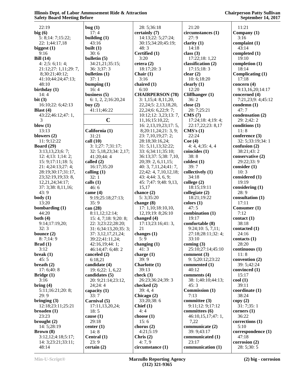**Chairperson Patty Sullivan September 14, 2017**

 22:19 **big (6)** 5: 8;14: 7;15:22; 22: 1;44:17,18 **biggest (1)** 9:16 **Bill (14)** 4: 2;5: 6;11: 4; 21:12;27: 1,11;29: 7, 8;30:21;40:12; 41:10;44:24;47:13; 48:10 **birthday (1)** 14: 4 **bit (3)** 16:10;22: 6;42:13 **Blast (4)** 43:22;46:12;47: 1, 3 **blow (1)** 13:13 **blowers (2)** 11: 9;12:22 **Board (29)** 3:13,13,23;6: 7; 12: 4;13: 1;14: 2; 15: 9;17:11;18: 5; 21: 4;24:13;27: 4; 28:19;30:17;31:17, 23;32:19,19;33: 8, 12,21,24;34:17; 37: 3;38: 8,11,16; 43: 9 **body (1)** 13:20 **bombarding (1)** 44:20 **both (4)** 9:14;17:19,20; 32: 3 **bounce (2)** 8: 7;14: 9 **Brad (1)** 3:12 **break (1)** 45: 5 **breath (2)** 17: 6;40: 8 **Bridge (1)** 3:16 **bring (4)** 5:11;16:21;20: 8; 29: 9 **bringing (3)** 12:18;23:11;25:21 **broaden (1)** 23:23 **brought (2)** 14: 5;28:19 **Brown (8)** 3:12,12;4:18;5:17; 14: 3;23:21;33:11;  $48.14$ **bug (1)** 17: 4 **building (1)** 43:16 **built (1)** 30: 6 **bulletin (5) bulletins (1)** 37: 1 **bumping (1)** 16: 4 **business (5) buy (2) California (1)** 31:21 **call (10) called (2) calling (1)** 32: 1 **calls (1)** 46: 6 **came (4)** 35: 9 **can (28) canceled (2)** 6:18,21 **candidate (4)** 24;24: 4 **capacity (1)** 33: 7 **Carnival (5)** 18: 5 **cause (1)** 29:18 **center (1)** 14: 8 **Central (1)** 23: 9 **certain (2)**

 34:21,21;35:15; 36: 3;37: 3 6: 1, 2, 2;16:20,24 41:11;46:22 **C** 3: 1;27: 7;31:17; 32: 5,18,23;34: 2,17; 41:20;44: 4 16:17;35:20 9:19;25:18;27:13; 8:11,12;12:14; 15: 4, 7;18: 9;20: 8; 22: 3;23:22;28:20; 31: 6;34:13,20;35: 3; 37: 3,12,17,21,24; 39:22;41:11,24; 42:16,19;44: 1; 46:14;47: 6;48: 2 19: 6;22: 1, 6,22 **candidates (5)** 20: 9;21:14;23:12, 17:11,13,20,24; 28: 5;36:18 **certainly (7)** 14:13;22: 5;27:24; 30:15;34:20;45:19; 48: 3 **Certified (1)** 3:20 **cetera (2)** 18:17;20: 3 **Chair (1)** 3:16 **chaired (1)** 6:10 **CHAIRPERSON (78)** 3: 1,15;4: 8,11,20, 22,24;5: 2,13,18,20, 22,24;6: 6,22;9: 7; 10:12;12: 3,23;13: 7, 11,16;15:10,22; 16: 2,13,19,23;17: 5, 8;20:11,24;21: 3, 9; 23: 7,10,19;27: 2; 28:18;30:16,24; 31: 5,11,13;32:22; 33: 6;34:11;35:10; 36:13;37: 5;38: 7,10, 20;39: 2, 6,11,15; 40: 3, 7,11,24;41: 7, 22;42: 4, 7,10,12,18; 43: 4;44: 3, 6, 9; 45: 7;47: 9;48: 9,13, 15,17 **chance (2)** 5: 3;35:20 **change (8)** 17: 1,10;18:10,10, 12,19;19: 8;26:10 **changed (4)** 17:13;23:16;41: 3, 21 **changes (1)** 5: 9 **changing (1)** 41: 3 **charge (1)** 39: 9 **Charlotte (1)** 39:13 **check (3)** 26:23;36:24;39: 3 **checked (2)** 39: 4, 4 **Chicago (2)** 33:20;38: 6 **Chief (1)** 4: 4 **choose (1)** 15: 6 **chorus (2)** 4:21;5:19 **Chris (2)** 4: 7, 9 **circumstance (1)**

 21:20 **circumstances (1)** 27: 9 **clarity (1)** 14:18 **class (3)** 17:22;18: 1,22 **classification (2)** 17:15;18: 3 **clear (2)** 10: 6;18:20 **clearly (1)** 12:20 **Cliffhanger (1)** 36: 2 **close (2)** 20: 7;25:21 **CMS (7)** 17:24;18: 4;19: 4; 22:17,22;23: 8,17 **CMS's (1)** 22:24 **Coe (4)** 4: 4, 4;35: 4, 4 **coincides (1)** 38: 8 **coldest (1)** 39: 7 **collectively (1)** 34:18 **college (2)** 18:15;19:11 **collegiate (2)** 18:21;19:22 **colors (1)** 47: 5 **combination (1)** 19:17 **comfortable (8)** 9:24;10: 5, 7,11; 27:18;28:11;32: 4; 33:10 **coming (3)** 25:10;27:14;45:10 **comment (3)** 9: 5;20:12;23:22 **commented (1)** 40:12 **comments (4)** 38: 1;40:10;44:13; 45: 3 **Commission (1)** 7:13 **committee (3)** 9:11;12: 9;17:12 **committees (6)** 46:10,15,17;47: 1, 7,22 **communicate (2)** 39: 9;43:17 **communicated (1)** 23:17 **communication (1)**

 11:21 **Company (1)** 3:16 **complaint (1)** 43:14 **completed (1)** 19:10 **completion (1)** 18:14 **Complicating (1)** 17:18 **concern (4)** 9:13,16,20;14:17 **concerned (4)** 7:21,23;9: 4;45:12 **condemn (1)** 47: 7 **condensation (2)** 29: 2;42: 2 **conditions (1)** 11: 8 **conference (3)** 32: 5;33:19;34: 1 **confusion (2)** 38:21;43: 2 **conservative (2)** 29:22;33: 9 **consider (1)** 10: 3 **considered (1)** 19:19 **considering (1)** 28: 9 **consultation (1)** 17:11 **Consumer (1)** 7:12 **contact (1)** 38:18 **contacted (1)** 24:16 **contacts (1)** 28:20 **continuous (1)** 11: 8 **convention (2)** 39: 5;42:24 **convinced (1)** 15:17 **cool (1)** 39:11 **coordinate (1)** 38:24 **copy (2)** 31: 7;35: 1 **corners (1)** 36:22 **corrections (1)** 5:10 **correspondence (1)** 47:18 **corrosion (2)** 28: 5;30: 5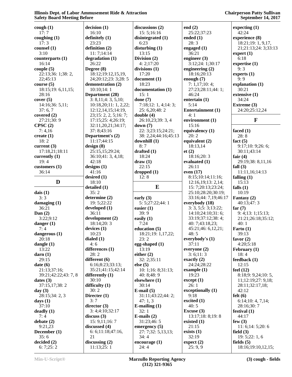| cough(1)               | decision(1)           | discussions $(2)$     | end $(2)$              | expecting $(1)$      |
|------------------------|-----------------------|-----------------------|------------------------|----------------------|
| 17:7                   | 16:10                 | 15:5;16:16            | 25:22;37:23            | 42:24                |
| coughing $(1)$         | definitely (1)        | disintegrated (1)     | ended $(1)$            | experience (8)       |
| 17:3                   | 23:23                 | 6:23                  | 28:3                   | 18:21;19: 1, 9,17,   |
| counsel (1)            | definition (2)        | disturbing $(1)$      | engaged $(1)$          | 21;21:13;24: 3;33:13 |
| 3:10                   | 11:7;14:14            | 13:15                 | 36:21                  | $\text{expert}(1)$   |
| counterparts (1)       | degradation (1)       | Division $(2)$        | engineer $(3)$         | 6:18                 |
| 16:14                  | 26:22                 | 4: 2; 17:20           | 3:12;24: 1;30:17       | expertise $(1)$      |
| couple(5)              | Degree (8)            | divisions $(1)$       | engineering $(2)$      | 9:3                  |
| 22:13;36: 1;38: 2,     | 18:12;19:12,15,19,    | 17:20                 | 18:16;20:13            | experts $(1)$        |
| 22;45:13               | 24;20:12;23: 3;28: 5  | document (1)          | enough $(7)$           | 9:9                  |
| course(5)              | demonstration (2)     | 18:23                 | 7: 1,17;10:4;          | explanation (1)      |
| 18:15;19:6,11,15;      | 10:10;14:1            | documentation (1)     | 27:23;28:11;44:1;      | 30:21                |
| 28:16                  | Department (28)       | 15:1                  | 46:24                  | extensive (1)        |
| cover(5)               | 3: 8,11; 4: 3, 5,10;  | done $(7)$            | entertain $(1)$        | 34:24                |
| 14:16;36: 5,11;        | 10:18,20;11:1,2,22;   | 7:18;12:1,4;14:3;     | 5:14                   | Extreme (3)          |
| 37:6,7                 | 12:12, 14, 15; 14:19, | 25: 6,20;48: 2        | Entertainment (1)      | 24:20;25:12,24       |
| covered $(2)$          | 23;15: 2, 2, 5;16: 7; | double $(4)$          | 4:1                    |                      |
| 27:21;30:9             | 17:15;25: 4;26:19;    | 26:10,23;39: 3, 4     | environment (1)        | F                    |
| CPSC(2)                | 32:11,20,21;34:17;    | down(7)               | 15:16                  |                      |
| 7:4,16                 | 37: 8;43:16           | 22: 3;23:15;24:21;    | equivalency (1)        | faced $(1)$          |
| create $(1)$           | Department's (2)      | 38: 2,24;44:16;45:13  | 20:2                   | 28:8                 |
| 18:2                   | 11:17;44:15           | downhill $(1)$        | equivalent $(2)$       | fact $(5)$           |
| current $(3)$          | design(8)             | 8:7                   | 18:13,14               | 9:17:10:9:26:6;      |
| 17:18,21;18:11         | 25:15,15;29:24;       | drafted $(1)$         | et(2)                  | 30:11;43:14          |
| currently $(1)$        | 36:10;41: 3, 4,18;    | 18:24                 | 18:16;20:3             | fair $(4)$           |
| 19:4                   | 42:18                 | draw(1)               | evaluated $(1)$        | 29:19;38: 8,11,16    |
| $\text{customers} (1)$ | designs $(1)$         | 22:15                 | 26:11                  | fall $(3)$           |
| 36:14                  | 41:16                 | dropped(1)            | even $(17)$            | 11:11,16;14:13       |
|                        | desired $(1)$         | 12:8                  | 8:15;10:14;11:16;      | falling $(1)$        |
| D                      | 18:10                 |                       | 12:16,19;13: 2,14;     | 15:13                |
|                        | detailed (1)          | $\bf{E}$              | 15: 7;20:13;23:24;     | falls $(1)$          |
| dais $(1)$             | 35:2                  |                       | 25:10;28:20;30:19;     | 10:19                |
| 3:3                    | determine (2)         | early $(3)$           | 33:16;44: 7,19;46:17   | Fantasy (2)          |
| damaging $(1)$         | 19: 5;22:22           | 5: 5;27:22;44: 1      | everybody (18)         | 40:13;47:3           |
| 36:21                  | developed (1)         | easier $(1)$          | 3: 3, 5; 5: 3; 13: 22; | far $(7)$            |
| Dan $(2)$              | 36:11                 | 39:9                  | 14:10;24:10;31:6;      | 9: 4; 13: 1; 15: 13; |
| 3:22;9:12              | development (2)       | easily $(1)$          | 33:19:37:12:38:4;      | 21:21;26:18;35:12;   |
| danger $(1)$           | 18:14;20:3            | 7:24                  | 40: 7;43:18,23;        | 40:1                 |
| 7:4                    | devices $(1)$         | education $(5)$       | 45:21;46: 6,12,21;     | Farto $(1)$          |
| dangerous (1)          | 10:23                 | 18:21;19: 1,17,22;    | 48:5                   | 39:13                |
| 20:18                  | dialed $(1)$          | 23:2                  | everybody's (1)        | favor $(2)$          |
| dangle $(1)$           | 4:6                   | egg-shaped (1)        | 37:11                  | 4:20;5:18            |
| 13:22                  | differences (1)       | 13:19                 | everyone $(2)$         | February $(1)$       |
| darn(1)                | 28:2                  | either $(2)$          | 3: 6; 11: 3            | 18:4                 |
| 29:15                  | different (6)         | 32: 2;35:11           | exactly $(2)$          | feedback (1)         |
| date(6)                | 6:16;8:23;33:13;      | else $(5)$            | 24:24;28:22            | 12:15                |
| 21:13;37:16;           | 35:21;41:15;42:14     | 10: 1; 16: 8; 31: 13; | example $(1)$          | feel $(12)$          |
| 39:21;42:22;43: 7, 8   | differently $(1)$     | 40: $8;48:9$          | 19:23                  | 8:18;9: 9,24;10: 5,  |
| dates $(3)$            | 30:10                 | elsewhere $(1)$       | except (1)             | 11;12:19;27: 9,18;   |
| 37:15,17;38:2          | difficulty $(1)$      | 30:14                 | 26:1                   | 28:11;32:17,18;      |
| day $(3)$              | 30:2                  | $E-mail (5)$          | exceptionally (1)      | 42:12                |
| 28:15;34: 2, 3         | Directer (1)          | 31:11;43:22;44: 2;    | 9:18                   | felt $(6)$           |
| days $(1)$             | 3:7                   | 47:1,3                | excited $(1)$          | 6:14;10:4,7,14;      |
| 37:10                  | director (3)          | E-mailing $(1)$       | 40:5                   | 28:16;30:7           |
| deadly(1)              | 3: 4;4:10;32:17       | 32:1                  | Excuse (3)             | festival $(1)$       |
| 7:4                    | discuss $(3)$         | E-mails $(2)$         | 13:17;18: 8;19: 8      | 44:17                |
| debate $(2)$           | 15: 9,11;16:7         | 31:23;46: 5           | existed (1)            | few $(3)$            |
| 9:21,23                | discussed (4)         | emergency $(5)$       | 21:15                  | 11: 6;14: 5;20: 6    |
| December $(1)$         | 6: 6;11:18;47:16,     | 27: 7;32: 5,13,13;    | exists $(1)$           | field $(3)$          |
| 35:6                   | 21                    | 34:4                  | 32:19                  | 19: 5;22:1, 6        |
| decided(2)             | discussing $(2)$      | encourage $(1)$       | expect (2)             | fields $(5)$         |
| 6:7;25:2               | 11:13;25:1            | 24:4                  | 25:9,9                 | 18:16;19:10,12,15;   |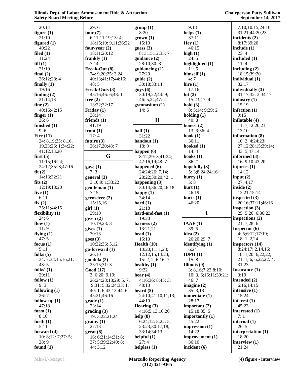| 20:14                   | 29:6                              | group(1)                   | 9:18                      | 7:10;10:15;24:10;                    |
|-------------------------|-----------------------------------|----------------------------|---------------------------|--------------------------------------|
| figure $(1)$            | four $(7)$                        | 8:20                       | helps $(1)$               | 31:21;44:20,23                       |
| 21:10                   | 6:11;11:19;13:4;                  | $grown (1)$                | 37:11                     | incidents $(2)$                      |
| figured $(1)$           | 18:15;19: 9,11;36:22              | 15:19                      | Hey(1)                    | 8:17:39:20                           |
| 40:22                   | four-year $(2)$                   | guess $(3)$                | 46:15                     | include $(1)$                        |
| filed $(1)$             | 18:11;20:12                       | 8: 3; 15: 12; 35: 7        | high $(1)$                | 23:4                                 |
| 11:24                   | frankly $(1)$                     | guidance (2)               | 24:5                      | included $(1)$                       |
| fill(1)                 | 7:14                              | 28:10;30:3                 | highlighted (1)           | 11:4                                 |
| 21:19                   | Freak-Out (8)                     | guidancing $(1)$           | 11:5                      | including $(2)$                      |
| final $(2)$             | 24: 9,20;25: 3,24;                | 27:20                      | himself $(1)$             | 18:15;39:20                          |
| 26:12;28:4              | 40:13;41:17;44:16;                | guide(2)                   | 4:7                       | individual (1)                       |
| finally $(1)$           | 48:5                              | 30:18;33:14                | hire $(1)$                | 32:17                                |
| 19:16                   | Freak-Outs (3)                    | guys(6)                    | 17:16                     | individually (3)                     |
| finding $(2)$           | 45:16;46: 6;48: 1                 | 30:19,22;44: 9;            | hit $(2)$                 | 31:17;32: 2;34:17                    |
| 21:14,18                | free $(2)$                        | 46: 5,24;47:2              | 15:23;17:4                | industry $(1)$                       |
| fine $(2)$              | 13:22;32:17                       | gymnasium(1)               | hold $(3)$                | 15:19                                |
| 40:16;42:15             | Friday $(1)$                      | 14:6                       | 8: 5;14: 9;29: 2          | infection $(1)$                      |
| finger $(1)$            | 38:14                             |                            | holding $(1)$             | 9:15                                 |
| 36:6                    | friends $(1)$                     | H                          | 40:8                      | inflatable (4)                       |
| finished (1)            | 41:19                             |                            | honest $(2)$              | 11: 7;12:20,21;                      |
| 9:6                     | front $(1)$                       | half $(1)$                 | 13: 3;36: 4               | 13:10                                |
| Fire $(11)$             | 17:4                              | 31:22                      | hook $(1)$                | information (8)                      |
| 24: 8,19;25: 8,16,      | future $(3)$                      | handout $(1)$              | 36:11                     | 10: 2, 4;24:23;                      |
| 19,23;26: 1;34:22;      | 26:17,20;48:7                     | 18:9                       | hooked $(1)$              | 27:12;28:15;39:14;                   |
| 41:12,13,20             |                                   | happen $(6)$               | 14:4                      | 43: 5;47:14                          |
| first $(5)$             | G                                 | 8:12;29: 3;41:24;          | hooks $(1)$               | informed $(3)$                       |
| 11:15;16:24;            |                                   | 42:16,19;48:7              | 36:21                     | 16: 9, 10; 43: 20                    |
| 24:12;35: 8;47:16       | gave(1)                           | happened $(6)$             | hopefully $(3)$           | injuries $(1)$                       |
| fit(2)                  | 7:3                               | 24:24;26: 7,14;            | 5: 3; 8: 24; 24: 16       | 14:12                                |
| 14:13;32:21             | general (3)                       | 28:22;30:20;42:1           | hurry $(1)$               | input $(2)$                          |
| fits $(2)$              | 3:10;9: 1;33:22                   | happening $(3)$            | 5:8                       | 27:4,17                              |
| 12:19;13:20             | gentleman (1)                     | 30:14;36:20;46:18          | hurt $(1)$                | inside $(2)$                         |
| five $(1)$              | 7:15                              | happy $(1)$                | 46:19                     | 13:21;15:14                          |
| 6:11                    | $germ-free (2)$                   | 34:14                      | hurts $(1)$               | inspected $(3)$                      |
| fix(2)                  | 15:15,16                          | hard $(1)$<br>21:18        | 46:20                     | 20:16;37:11;46:16                    |
| 35:11;44:15             | $\operatorname{girl}(1)$          |                            | I                         | inspection $(3)$                     |
| flexibility (1)<br>24:6 | 39:10<br>given $(2)$              | hard-and-fast (1)<br>19:20 |                           | 25: 5;26: 6;36:23<br>inspections (2) |
| flow $(1)$              | 10:19;28:3                        | harness $(2)$              | IAAF(1)                   | 21:7;28:6                            |
| 11:9                    | gives(1)                          | 13:21,21                   | 39:5                      | <b>Inspector</b> $(6)$               |
| flying $(1)$            | 30:13                             | head $(1)$                 | idea $(2)$                | 4: 5; 6: 12; 17: 19;                 |
| 47:5                    | goes(3)                           | 15:13                      | 26:20;29:7                | 18: 1, 2,24                          |
| focus $(1)$             | 10:22;36: 5,12                    | Health $(10)$              | identifying $(1)$         | inspectors (14)                      |
| 9:11                    | $go-forward(1)$                   | 10:20;11:1,23;             | 6:24                      | 8:24;17: 2,14,16;                    |
| folks $(5)$             | 26:10                             | 12:12,15;14:23;            | IDPH $(1)$                | 18: 1;20: 6,22,22;                   |
| 34: 7;38:15,16,21;      | gondola (2)                       | 15: 2, 2, 6; 16: 7         | 15:8                      | 21: 1, 6, 6, 22, 22: 4;              |
| 43:5                    | 25:15;31:3                        | healthy $(1)$              | Illinois $(9)$            | 31:23                                |
| folks' $(1)$            | Good (17)                         | 9:22                       | 3: 8,16;7:22;8:10;        | Insurance $(1)$                      |
| 29:11                   | 3: 6;20: 9,19;                    | hear $(4)$                 | 10: 3, 6; 16: 11; 39: 21; | 3:19                                 |
| follow $(1)$            | 26:24;28:18;29: 5, 7,             | 4:16;36:8;45:3;            | 46:7                      | intended $(2)$                       |
| 9:3                     | 9;31: 5;32:24;33: 1;              | 48:13                      | imagine $(2)$             | 6:16;14:15                           |
| following $(1)$         | 40: 1, 6;43:13;44: 6;             | heard $(5)$                | 35:3,13                   | intensive $(1)$                      |
| 26:7                    | 45:21;46:16                       | 24:10;41:10,11,13;         | immediate (1)             | 15:24                                |
| follow-up $(1)$         | grade(1)                          | 44:19                      | 28:17                     | interest $(1)$                       |
| 47:18                   | 23:14                             | Hearing $(3)$              | important $(2)$           | 45:23                                |
| form $(1)$              | $\mathbf{grading}\left( 3\right)$ | 4:16:5:13:16:20            | 15:18;35:5                | interested (1)                       |
| 8:10                    | 19: 3;22:21,24                    | help (8)                   | importantly $(1)$         | 7:1                                  |
| forth $(1)$             | grainy(1)                         | 6:24;12:8;22:5;            | 45:22                     | internal $(1)$                       |
| 5:11                    | 27:13                             | 23:23;30:17,18;            | impression $(1)$          | 26:5                                 |
| forward $(4)$           | $gr(8)$                           | 33:14;34:13                | 14:22                     | interpretation (1)                   |
| 10: 8; 12: 7; 27: 5;    | 16: 6;21:14;31: 8;                | helpful $(1)$              | improvement (1)           | 18:20                                |
| 28:9                    | 37: 5;39:22;40: 8;                | 27:4                       | 36:10                     | interview (1)                        |
| found $(1)$             | 44: 3,12                          | helpless $(1)$             | incident $(6)$            | 21:24                                |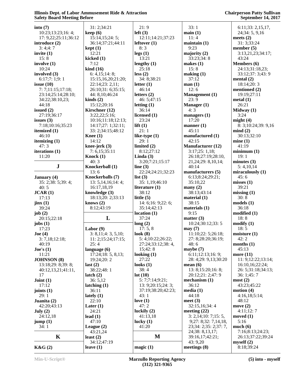| into $(7)$             | 31: 2;34:21                       | 21:9                   | 33:1                         | $6:11;33:2,15,17$ ,        |
|------------------------|-----------------------------------|------------------------|------------------------------|----------------------------|
| 10:23;13:23;16:4;      | keep(6)                           | left(3)                | main(1)                      | 24;34:5,9,16               |
| 17: 9,22;25:11;36:12   | 15:14, 15; 24:5;                  | 12:11;14:21;37:23      | 11:4                         | meets $(2)$                |
| introduce $(2)$        | 36:14;37:21;44:11                 | leftover $(1)$         | maintain(1)                  | 31: 3;33:24                |
| 3:4:4:7                | kept(1)                           | 8:3                    | 9:23                         | member $(5)$               |
|                        | 12:21                             |                        |                              |                            |
| invite $(1)$<br>15:8   |                                   | legs(1)<br>13:21       | majority $(2)$<br>33:23;34:8 | 3:13,21,23;34:17;<br>43:24 |
|                        | kicked $(1)$                      |                        |                              |                            |
| involve $(1)$<br>10:24 | 7:12                              | lengthy $(1)$<br>25:18 | makes $(1)$<br>15:8          | <b>Members</b> (6)         |
|                        | $\boldsymbol{\mathrm{kind}}$ (16) |                        |                              | 24:13;31:18,23;            |
| involved (3)           | 6: 4,15;14:8;                     | less(2)                | making (1)                   | 33:12;37: 3;43: 9          |
| 6:17;7:1;9:1           | 15:15,16,20;21:20;                | 34: 8;38:21            | 37:12                        | mental $(2)$               |
| issue $(10)$           | 22:14;23: 2,11;                   | letter $(1)$           | man(1)                       | 18:14;20:3                 |
| 7:7:11:15:17:18;       | 26:10:31: 6:35:15;                | 46:14                  | 12:6                         | mentioned (2)              |
| 23:14;25:14;28:10;     | 44: 8,10;46:24                    | letters $(2)$          | Management (1)<br>23:9       | 19:19;27:11                |
| 34:22;38:10,23;        | $\text{kinds}(2)$                 | 46: 5;47:15            |                              | metal(1)                   |
| 44:18                  | 15:12;20:16                       | letting $(1)$          | Manager (1)                  | 26:21                      |
| issued $(2)$           | Kirschner (12)                    | 36:14                  | 4:3                          | Midway $(1)$               |
| 27:19;36:17            | 3:22,22;5:16;                     | licensed (1)           | managers (1)                 | 3:24                       |
| issues $(3)$           | 10:16;11:18;12:13;                | 23:24                  | 17:20                        | might $(4)$                |
| 7:18;10:16;35:23       | 14:17;27: 1;32:11;                | lift $(1)$             | manner $(1)$                 | 8: 3;10:24;39: 9,16        |
| itemized $(1)$         | 33: 2;34:15;48:12                 | 21:1                   | 45:11                        | mind(2)                    |
| 46:10                  | <b>Knee</b> $(1)$                 | like-type $(1)$        | manufactured (1)             | 30:13;32:10                |
| itemizing $(1)$        | 14:12                             | 29:1                   | 42:15                        | mine(1)                    |
| 47:3                   | knee-jerk $(3)$                   | limited (2)            | Manufacturer (12)            | 41:19                      |
| iterations (1)         | 7: 6,15;35:11                     | 8:12;27:12             | 3:17;25:1,18;                | minimum(1)                 |
| 11:20                  | Knock $(1)$                       | Linda $(3)$            | 26:18;27:19;28:10,           | 19:1                       |
|                        | 40:3                              | 3:20;7:21;15:17        | 21, 24; 29: 8, 10, 14;       | minutes $(3)$              |
| ${\bf J}$              | Knockerball (1)                   | line $(3)$             | 40:14                        | 5: 4, 10, 14               |
|                        | 13:6                              | 22:24;24:21;32:23      | manufacturers (5)            | miraculously (1)           |
| January (4)            | Knockerballs (7)                  | list $(3)$             | 6:13;8:24;29:21;             | 45:6                       |
| 35: 2;38: 5;39: 4;     | 13: 5,14,16;14:4;                 | 35: 1,19;46:10         | 35:10,22                     | misses(1)                  |
| 40:5                   | 16:17,18,19                       | literature $(1)$       | many(2)                      | 39:21                      |
| JCAR(1)                | knowledge (3)                     | 38:12                  | 38:13;43:14                  | missing(1)                 |
| 17:13                  | 18:13;20: 2;33:13                 | little $(5)$           | material $(1)$               | 30:8                       |
| jinx(1)                | knows $(2)$                       | 14: 6;16: 9;22: 6;     | 38:15                        | models(1)                  |
| 39:24                  | 8:12;43:19                        | 35:14;42:13            | materials (1)                | 36:18                      |
| job $(2)$              |                                   | location(1)            | 9:15                         | modified (1)               |
| 20:15;22:18            | L                                 | 37:24                  | matter $(3)$                 | 18:8                       |
| jobs $(1)$             |                                   | long(2)                | 10:24;30:12;33:5             | $\text{modify}(1)$         |
| 17:23                  | Labor $(9)$                       | 17:5,8                 | may(7)                       | 18:5                       |
| Joe (4)                | 3: 8,11; 4: 3, 5,10;              | look $(8)$             | 11:10;22: 5;26:18;           | moisture(1)                |
| 3: 7,18;12:18;         | 11: 2; 15: 24; 17: 15;            | 5: 4;10:22;26:22;      | 27: 8;28:20;36:19;           | 42:2                       |
| 40:19                  | 25:4                              | 27:24;33:12;38:4,      | 48:6                         | months $(1)$               |
| $\textbf{Joe's}$ (1)   | language $(6)$                    | 15;42:8                | maybe $(7)$                  | 45:13                      |
| 11:21                  | 17:24;18:5, 8,13;                 | looking $(1)$          | 6:11;12:13;16:9;             | more (11)                  |
| <b>JOHNSON</b> (8)     | 19:24;20:2                        | 27:22                  | 28: 4;29: 9,13;30:20         | 11: 9; 12: 22; 13: 14;     |
| 13:18;29: 8;39: 8;     | last $(2)$                        | looks $(1)$            | mean $(6)$                   | 16:10,16;22:24;            |
| 40:12,13,21;41:11,     | 38:22;48:1                        | 38:4                   | 13: 8;15:20;16: 8;           | 26: 5;31:18;34:13;         |
| 17                     | latch(2)                          | lot(10)                | 20:12;21: 2;47: 9            | 36: 1;45: 7                |
| Joint $(1)$            | 36:5,12                           | 5:7;7:14;9:21;         | mechanism $(1)$              | most(2)                    |
| 17:12                  | latching $(1)$                    | 13: 9;20:15;24:3;      | 36:12                        | 43:23;45:22                |
| joints $(1)$           | 36:11                             | 37:19;38:20;42:23;     | media(1)                     | motion $(4)$               |
| 29:1                   | lately $(1)$                      | 43:1                   | 44:18                        | 4:16,18;5:14;              |
| Juanita (2)            | 22:10                             | love $(1)$             | meet $(3)$                   | 48:12                      |
| 42:20;43:13            | Later $(1)$                       | 47:2                   | 32:15,16;34:4                | move $(2)$                 |
| July $(2)$             | 24:21                             | luckily $(2)$          | meeting $(22)$               | 4:11;12:7                  |
| 24:12,18               | lead $(1)$                        | 41:13,18               | 3: 2,14;10: 7;15: 5,         | moved $(1)$                |
| jump(1)                | 47:10                             | lucky $(1)$            | 9;27:8;32:7,14,18,           | 5:16                       |
| 34:1                   | League $(2)$                      | 41:20                  | 23;34: 2;35: 2;37: 7,        | much(6)                    |
|                        | 43:21,24                          |                        | 24;38: 8,13,17;              | 7:16;8:13;24:23;           |
| $\mathbf K$            | least $(2)$                       | M                      | 39:16,17;42:21;              | 26:13;37:22;39:24          |
|                        | 34:12;47:19                       |                        | 43: 9,20                     | myself(2)                  |
| K&G(2)                 | leave $(1)$                       | magic(1)               | meetings $(8)$               | 8:18;39:24                 |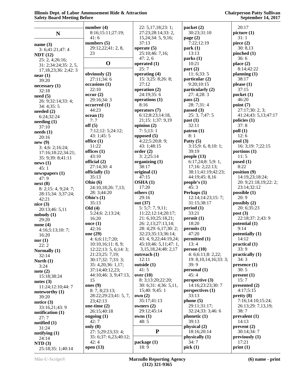|                                          | number $(4)$                             | 22: 5,17,18;23:1;                          | packet(2)                              | 20:17                      |
|------------------------------------------|------------------------------------------|--------------------------------------------|----------------------------------------|----------------------------|
| $\mathbf N$                              | 8:16;15:11;27:19;                        | 27:23;28:14;33:2,                          | 30:23;31:10                            | picture(1)                 |
|                                          | 41:6                                     | 15,24;34: 5, 9,16;                         | page $(2)$                             | 31:1                       |
| name $(3)$                               | numbers $(5)$                            | 37:13                                      | 7:22;12:19                             | piece $(2)$                |
| 3: 6; 41: 21; 47: 4                      | 29:12,22;41: 2, 8,                       | operate $(5)$                              | park(1)                                | 30:8,13                    |
| NDT(12)                                  | 23                                       | 25:10;46: 7,16;                            | 13:13                                  | pinched $(1)$              |
| 25: 2, 4;26:16;                          | $\mathbf 0$                              | 47:2,6                                     | parts(1)                               | 36:6                       |
| 31: 2; 34: 24; 35: 2, 5,                 |                                          | operated $(1)$<br>25:7                     | 10:21<br>part(2)                       | place $(2)$<br>8:14;42:22  |
| 17, 18, 23; 36: 2; 42: 3                 | obviously (2)                            | operating (4)                              | 11: 6; 33: 5                           | planning $(1)$             |
| near(1)                                  | 27:11:34:6                               | 15: 3;25: 8;26: 8;                         | particular (2)                         | 38:17                      |
| 39:20                                    | occasions (1)                            | 27:12                                      | 9:20;10:15                             | please $(1)$               |
| necessary(1)<br>32:18                    | 22:10                                    | operation (2)                              | particularly (2)                       | 37:15                      |
| need(5)                                  | occur(2)                                 | 24:19:35:6                                 | 27:4;28:3                              | pocket(1)                  |
| 26: 9;32:14;33: 4;                       | 29:16;34:3                               | operations $(1)$                           | pass $(2)$                             | 46:20                      |
| 34:4;35:5                                | occurred(1)                              | 8:16                                       | 28:7;31:4                              | point $(7)$                |
| needed $(2)$                             | 44:23                                    | operators (7)                              | passed $(3)$                           | 27:17;30:2,3;              |
| 6:24;32:24                               | ocean(1)                                 | 6:12;8:23;14:18,                           | 25: 3, 7; 47: 5                        | 41:24;43: 5,13;47:17       |
| needing (1)                              | 7:7                                      | 21;15: 1;37: 9,19                          | past(1)                                | policies (1)               |
| 37:10                                    | off(5)                                   | opinion $(2)$                              | 32:11                                  | 37:8                       |
| needs(1)                                 | 7:12:12:5:24:12;<br>43:1;45:5            | 7: 5; 13: 1<br>opposed $(5)$               | $\mathbf{patron}\left(1\right)$<br>8:1 | $\text{poll}(1)$<br>12:6   |
| 20:16                                    | office $(1)$                             | 4:22;5:20;8: 9;                            | Patty $(5)$                            | pool(3)                    |
| new(9)                                   | 11:22                                    | 43: 1;48:15                                | 3:15;9:6, 8:10:1;                      | 16: 3;19: 7;22:15          |
| 3: 4; 6: 2; 16:24;<br>17:16;18:22;34:21; | offices $(1)$                            | order(2)                                   | 39:19                                  | portions (1)               |
| 35: 9;39: 8;41:11                        | 43:10                                    | 3:2:25:14                                  | people $(13)$                          | 11:5                       |
| news(1)                                  | official (2)                             | organizing $(1)$                           | 6:17,24;8:5;9:1,                       | posed(1)                   |
| 45:1                                     | 27:14;30:4                               | 38:17                                      | 17;16: 2;22:13;                        | 8:22                       |
| newspapers $(1)$                         | officially (1)                           | original $(1)$                             | 38:11;41:19;42:23;                     | position (9)               |
| 47:9                                     | 35:13                                    | 47:15                                      | 44:19;45: 8,16                         | 14:19,23;18:24;            |
| next(8)                                  | Ohio $(6)$                               | OSHA(1)                                    | people's $(1)$                         | 20: 9;21:18,19;22: 2;      |
| 8: 2; 15: 4, 9; 24: 7;                   | 24:10,18;26: 7,13;                       | 17:20                                      | 45:3                                   | 23:14;32:12                |
| 28:15;34: 3;37:24;                       | 28: 3;44:20<br>Ohio's $(1)$              | others $(1)$<br>29:16                      | Perhaps (5)<br>12:14;14:23;15:7;       | possible $(1)$<br>20:9     |
| 42:21                                    | 35:13                                    | out (37)                                   | 31:15;38:17                            | possibly (2)               |
| nice(3)                                  | Old(4)                                   | 5: 5;7: 7, 9,11;                           | period(1)                              | 20: 6;35:23                |
| 20:13;46: 5,11<br>nobody(1)              | 5:24;6: 2;13:24;                         | 11:22;12:14;20:17;                         | 33:21                                  | post(3)                    |
| 29:20                                    | 16:20                                    | 21: 6,10;25:18,21;                         | permit(1)                              | 22:18;37: 2;43: 9          |
| none $(4)$                               | once $(1)$                               | 26: 2,13;27:13,14;                         | 18:20                                  | potential (1)              |
| 4:16;5:13;10:7;                          | 42:16                                    | 28: 4;29: 6,17;30: 2;                      | permits(1)                             | 9:14                       |
| 16:20                                    | one (29)                                 | 32:23;35:13;36:14;                         | 47:20                                  | potentially (1)            |
| nor $(1)$                                | 4: 6;6:11;7:20;                          | 43: 4, 9, 22; 44: 19, 24;                  | permitted (1)                          | 14:12                      |
| 22:2                                     | 10:10,16;11:8,9;                         | 45:10;46: 5,11;47: 1,                      | 13:4                                   | practical (1)              |
| Normally (1)                             | 12:22;13: 5, 6;14: 3;<br>21:23;25: 7,19; | 3, 15, 18, 24; 48: 2, 17<br>outreach $(1)$ | person(10)<br>4: 6; 6: 11; 8: 2, 22;   | 33:9<br>practically (1)    |
| 32:14                                    | 30:17;32:7;33:3;                         | 12:11                                      | 19: 8, 10, 14, 16; 33: 3;              | 34:3                       |
| North $(1)$<br>3:24                      | 35: 4,20;36: 1,17;                       | outside (1)                                | 39:9                                   | presence(1)                |
| note $(2)$                               | 37:14;40:12,23;                          | 41:5                                       | personal(1)                            | 30:5                       |
| 15:18;38:24                              | 44:10;46: 3, 9;47:13,                    | over $(10)$                                | 45:4                                   | present(1)                 |
| notes $(3)$                              | 15                                       | 8: 3; 13: 20; 22: 20;                      | perspective (3)                        | 15:7                       |
| 11:24;12:10;44:7                         | ones $(9)$                               | 30: 6; 31: 4; 36: 5,11,                    | 14:16;23:23;30:7                       | presented $(2)$            |
| noteworthy (1)                           | 8:7, 8;23:13;                            | 15;40:9;45:1                               | perspectives (1)                       | 4:17;5:15                  |
| 39:20                                    | 28:22;29:23;41: 5, 7,                    | own(2)                                     | 33:13                                  | pretty(8)                  |
| notice $(3)$                             | 23;42:13                                 | 35:17;41:13                                | phone (5)                              | 7:16;14:10;15:24;          |
| 33:16,21;43:9                            | one-time $(2)$<br>26:15;40:18            | owners (2)<br>29:12;45:14                  | 29:11;31:17;<br>32:24;33: 3;46: 6      | 26:13;29: 7,13,19;<br>38:7 |
| notification $(1)$                       | ongoing $(1)$                            | owns(1)                                    | phonetic(1)                            | prevalent(1)               |
| 27:7                                     | 42:7                                     | 48:5                                       | 39:13                                  | 14:13                      |
| notified $(1)$<br>31:24                  | only $(8)$                               |                                            | physical (2)                           | prevent(2)                 |
| notifying (1)                            | 27: 5;29:23;33:4;                        | ${\bf P}$                                  | 18:16;20:14                            | 30:14;34:7                 |
| 24:14                                    | 35: 6;37: 6,23;40:12;                    |                                            | physically (1)                         | previously $(1)$           |
| $\bf NTD$ (3)                            | 42:4                                     | package (1)                                | 34:7                                   | 17:21                      |
| 25:18;35: 1;40:14                        | open $(13)$                              | 18:9                                       | pick(1)                                | print(1)                   |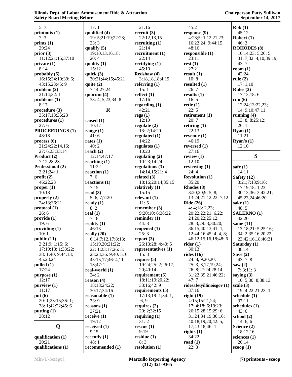| 5:7                    | 17:1                  | 21:16               | 45:21                     |                        |
|------------------------|-----------------------|---------------------|---------------------------|------------------------|
|                        |                       |                     |                           | Rob(1)                 |
| printouts (1)          | qualified (4)         | recruit $(3)$       | response (9)              | 45:12                  |
| 7:3                    | 19: 5;21:19;22:23;    | 22:12,13,15         | 4:23;5:1,12,21,23;        | Robert $(1)$           |
| prints $(1)$           | 23:3                  | recruiting $(1)$    | 16:22;24: 9;44:15;        | 46:3                   |
| 29:24                  | qualify $(5)$         | 21:14               | 48:16                     | <b>ROHODES</b> (8)     |
| prior $(3)$            | 19:10,13,16,18;       | recruitment (1)     | responsible (1)           | 10:14;23:5;26:5;       |
| 11:12;21:15;37:10      | 20:4                  | 22:14               | 23:11                     | 31: 7;32: 4,10;39:19;  |
| private(1)             | quality $(1)$         | rectifying $(1)$    | rest(1)                   | 43:7                   |
| 8:14                   | 15:12                 | 45:10               | 27:21                     | room $(1)$             |
| probably (6)           | quick $(3)$           | Redshaw (4)         | result(1)                 | 42:24                  |
| 16:15;34:10;39:6;      | 30:21;44:15;45:21     | 3:18,18,18;4:19     | 10:8                      | rule $(2)$             |
| 43:15,23;45:9          | quite $(2)$           | referring $(1)$     | resulted $(1)$            | 17:1,10                |
| problem(2)             | 7:14;27:24            | 15:1                | 26:7                      | Rules $(2)$            |
| 21:14;32:1             | quorum $(4)$          | reflect $(1)$       | results $(1)$             | 17:13:18:6             |
| $\n  problems (1)\n$   | 33: 4, 5, 23; 34: 8   | 17:16               | 16:5                      | run $(6)$              |
| 8:17                   |                       | regarding $(1)$     | retie $(1)$               | 12:24;13:22,23;        |
| procedure (3)          | $\mathbf R$           | 42:21               | 22:5                      | 14: 9, 10; 47: 11      |
| 35:17,18;36:23         |                       | regs(1)             | retirement (1)            | running $(4)$          |
| procedures (1)         | raised $(1)$          | 12:19               | 20:7                      | 13: 8, 8; 25:12;       |
| 27:6                   | 10:17                 | regulate $(2)$      | retiring $(1)$            | 26:1                   |
| <b>PROCEEDINGS (1)</b> | range $(1)$           | 13:2;14:20          | 22:13                     | Ryan(1)                |
| 48:18                  | 41:6                  | regulated $(1)$     | revenue $(1)$             | 11:21                  |
| process(6)             | rates $(1)$           | 14:22               | 46:19                     | Ryan's $(1)$           |
| 21:24;22:14,16;        | 40:2                  | regulates $(1)$     | reversed (1)              | 12:10                  |
| 27: 6,23;33:14         | reach $(2)$           | 10:20               | 27:16                     |                        |
| Product (2)            | 12:14;47:17           | regulating $(2)$    | review $(1)$              | S                      |
| 7:12;28:23             | reaching $(1)$        | 10:23;14:24         | 12:10                     |                        |
| Professional (2)       | 11:22                 | regulations $(3)$   | reviewing $(1)$           | safe $(1)$             |
| 3:21;24:1              | reaction $(1)$        | 14:14,15;21:4       | 24:4                      | 14:11                  |
| profit $(2)$           | 7:6                   | related $(3)$       | <b>Revolution (1)</b>     | Safety (12)            |
| 46:22,23               | reactions $(1)$       | 18:16;20:14;35:15   | 35:20                     | 3:21;7:13;9:16;        |
| proper <sub>(1)</sub>  | 7:15                  | relatively $(1)$    | Rhodes (8)                | 17:19;18: 1,23;        |
| 10:18                  | read $(3)$            | 15:15               | 3:20,20;9:5,8;            | 30:13;36: 3;42:21;     |
| properly $(2)$         | 5: 6, 7;7:20          | relevant $(1)$      | 13:24;21:12;22: 7,12      | 45:23,24;46:20         |
| 24:13:36:21            | ready $(1)$           | 11:5                | Ride $(26)$               | sake $(1)$             |
| protocol (1)           | 8:2                   | remember $(3)$      | 4:4;18:2,23;              | 48:5                   |
| 26:6                   | real $(1)$            | 9:20;10: 6;38:22    | 20:22,22;21: 6,22;        | <b>SALERNO</b> (1)     |
| provide (1)            | 7:18                  | reminder $(1)$      | 24:20,22;25:12;           | 42:20                  |
| 19:6                   | reality $(1)$         | 44:8                | 28: 3;29: 3;30:20;        | same $(11)$            |
| providing $(1)$        | 46:13                 | reopened $(1)$      | 36:15;40:13;41:1,         | 13:18;21: 5;25:16;     |
| 10:1                   | really $(20)$         | 25:3                | 12;44:16;45:4,4,8;        | 34: 2;35:16,20,22,     |
| public (11)            | 6:14;7:12,17;8:13;    | report $(3)$        | 46:12,15,16,18;48:6       | 23;42:16,18;46:21      |
| 3:21;9:1;15:6;         | 15:19,20;21:22;       | 26:13;28: 4;40: 5   | rider $(1)$               | Saturday (1)           |
| 17:19;18: 1;33:22;     | 22: 1;23:17;26: 3;    | representatives (1) | 30:13                     | 38:14                  |
| 38: 1;40: 9;44:13;     | 28:23;36: 9;40: 5, 6; | 15:8                | rides $(16)$              | Save $(2)$             |
| 45:23,24               | 45:15,17;46:4,11,     | require $(5)$       | 24: 8, 9, 20, 20;         | 43:7,8                 |
| $p$ ulled $(1)$        | 13;47:2               | 19:24;25: 2;26:17,  | 25: 3, 8, 17, 19, 24;     | saw $(2)$              |
| 17:24                  | real-world $(1)$      | 20;40:14            | 26: 8;27:24;28:14;        | 7:3;11:3               |
| purpose (1)            | 24:2                  | requirement (5)     | 31:22;39:21;46:22;        | saying $(3)$           |
| 12:17                  | reason $(4)$          | 18:11;19:20,22;     | 47:7                      | 10: 5;30: 8;38:13      |
| purity(1)              | 18:18;24:22;          | 33:16;42:9          | ridesafetyillinoisgov (1) | scale $(3)$            |
| 11:17                  | 30:17;34:16           | requirements $(5)$  | 37:16                     | 19: 4;22:21;23: 1      |
| put $(6)$              | reasonable $(1)$      | 17:13;19:1;34:1,    | right(19)                 | schedule (1)           |
| 20: 1;23:15;36: 1;     | 33:9                  | 6, 9                | 4:15;15:21,24;            | 37:11                  |
| 38: 1;42:22;45: 6      | reasons $(1)$         | requires $(2)$      | 17: 4;18: 6;19:23;        | schedules (1)          |
| putting (1)            | 37:21                 | 20: 2;32:15         | 26:15;28:15;29:6;         | 43:6                   |
| 38:12                  | receive $(1)$         | requiring $(1)$     | 31:24;34:19;36:16;        | school (2)             |
|                        | 19:12                 | 31:2                | 40:18,19,20;42:5,         | 14:6,6                 |
| Q                      | received $(1)$        | rescue $(1)$        | 17;43:18;46:1             | Science (2)            |
|                        | 9:15                  | 9:19                | rights $(1)$              | 18:12,16               |
| qualification $(1)$    | recently $(1)$        | residue(1)          | 34:22                     | sciences $(1)$         |
| 20:21                  | 48:1                  | 8:3                 | road $(1)$                | 20:14                  |
| qualifications (1)     | recommended (1)       | resolution $(1)$    | 22:3                      | $\mathbf{c}$ oop $(1)$ |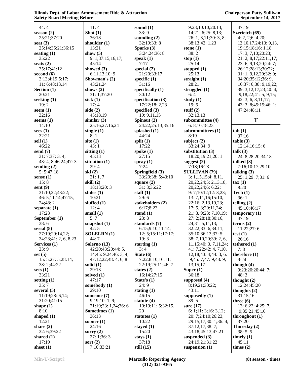| 44:4                   | 11:4                  | sound $(1)$        | 9:23;10:10;20:       |
|------------------------|-----------------------|--------------------|----------------------|
| season $(2)$           | Shot $(1)$            | 33:9               | 14;21:6;25:8,        |
| 25:21;37:20            | 36:18                 | sounding $(2)$     | 26: 1, 8, 11; 30:    |
| seat $(3)$             | shoulder $(1)$        | 32:19;33:8         | 38:13;42: 1,23       |
| 25:14;35:21;36:15      | 13:21                 | Sparks (3)         | stone $(1)$          |
| seating $(1)$          | show $(5)$            | 3:24,24;36:8       | 38:2                 |
| 35:22                  | 9: 1;37:15,16,17;     | speak $(1)$        | stop $(1)$           |
| seats $(2)$            | 45:14                 | 7:17               | 25:14                |
| 35:17;41:12            | showed $(3)$          | special $(2)$      | stopped $(1)$        |
| second $(6)$           | 6:11,13;10:9          | 21:20;33:17        | 25:13                |
| 3:13;4:19;5:17;        | Showman's $(2)$       | specific $(1)$     | straight $(1)$       |
| 11: 6;48:13,14         | 43:21,24              | 31:16              | 28:21                |
| Section $(1)$          | shows $(2)$           | specifically $(1)$ | struggled $(1)$      |
| 20:21                  | 31: 1;37:20           | 30:12              | 6:4                  |
| seeking $(1)$          | sick $(1)$            | specification (3)  | study $(1)$          |
| 19:2                   | 17:4                  | 17:22;18: 2,23     | 19:5                 |
| seem $(1)$             | side $(2)$            | specified $(3)$    | stuff $(2)$          |
| 32:16                  | 45:18,19              | 19: 9, 11, 15      | 32:13,13             |
| seems $(1)$            | similar $(3)$         | Spinout (3)        | subcommittee (4      |
| 14:10                  | 25:16;27:16,24        | 24:22;25:13;35:16  | 6: 8, 10, 18, 23     |
| sees $(1)$             | single $(1)$          | splashed (1)       | subcommittees (      |
| 32:21                  | 8:1                   | 44:24              | 8:19                 |
| sell $(1)$             | site $(1)$            | split $(1)$        | subject $(2)$        |
| 46:22                  | 43:1                  | 17:22              | 33:24:34:9           |
| send $(7)$             | sitting $(1)$         | spoke $(1)$        | substitution $(3)$   |
| 31: 7;37: 3, 4;        | 45:13                 | 27:15              | 18:20;19:21;20       |
| 43: 4, 8;46:24;47: 3   | situation $(1)$       | spray $(1)$        | suggest $(2)$        |
| sending $(2)$          | 29:4                  | 7:24               | 7:18;16:23           |
| 5:5;47:18              | ski(2)                | Springfield (3)    | <b>SULLIVAN (79)</b> |
| sense $(1)$            | 21:1,7                | 33:20;38: 5;43:10  | 3: 1,15,15;4:8       |
| 15:8                   | skill $(2)$           | square $(2)$       | 20, 22, 24; 5: 2, 1  |
| sent $(9)$             | 18:13;20:3            | 31: 3;36:22        | 20,22,24;6: 6,2      |
| 31:10,22;43:22;        | slides $(1)$          | staff $(1)$        | 9:7;10:12;12:        |
| 46: 5, 11, 14; 47: 15, | 10:21                 | 29:6               | 13: 7,11,16;15       |
| 24;48: 2               | sluffed (1)           | stakeholders (2)   | 22;16: 2,13,19,      |
| separate $(1)$         | 12:4                  | 6:17;8:23          | 17: 5, 8; 20:11,     |
| 17:23                  | small $(1)$           | stand $(1)$        | 21: 3, 9;23: 7,1     |
| September (1)          | 5:7                   | 23:8               | 27: 2;28:18;30       |
| 38:6                   | snapshot $(1)$        | standards (7)      | 24;31:5,11,13        |
| serial $(8)$           | 42:5                  | 6:15;9:10;11:14;   | 32:22;33: 6;34       |
| 27:19;29:14,22;        | <b>SOLELRN</b> (1)    | 12: 5;15:11;17:17; | 35:10;36:13;37       |
| 34:23;41: 2, 6, 8,23   | 44:7                  | 19:3               | 38: 7,10,20;39       |
| Services (1)           | Solerno (13)          | starting $(1)$     | 11,15;40:3,7,        |
| 23:9                   | 42:20;43:20;44:5,     | 3:4                | 41: 7,22;42: 4,      |
| set $(5)$              | 14;45: 9,24;46: 3, 4; | State (6)          | 12, 18; 43: 4; 44    |
| 15: 5;27: 5;28:14;     | 47:12,22;48: 4, 6, 8  | 7:22;8:10;16:11;   | 9;45: 7;47: 9;4      |
| 38: 2;44:22            | solid $(1)$           | 22:19;25:11;46:7   | 13, 15, 17           |
| sets $(1)$             | 29:13                 | states $(2)$       | Super $(1)$          |
| 33:21                  | solved $(1)$          | 16:14;27:15        | 36:18                |
| setting $(1)$          | 47:17                 | State's $(1)$      | supposed $(4)$       |
| 35:7                   | somebody (1)          | 24:9               | 8:19,21;30:22;       |
| several $(5)$          | 29:10                 | stating $(1)$      | 43:11                |
| 11:19;28: 6,14;        | someone (7)           | 46:15              | supposedly (1)       |
| 31:20;41:15            | 9:19:10:1,9;          | statute (4)        | 39:5                 |
| shape $(1)$            | 21:19;23: 1,24;36: 6  | 10:19;11:5;32:15,  | sure $(17)$          |
| 8:10                   | Sometimes (1)         | 20                 | 6: 1;11: 3;16: 3     |
| shaped $(1)$           | 36:13                 | statutes $(1)$     | 20: 7;24:10;26       |
| 12:21                  | sooner $(1)$          | 10:22              | 29:15,17;30: 1       |
| share $(2)$            | 24:16                 | stayed $(1)$       | 37:12,17;38: 7       |
| 32: 6;39:22            | sorry $(2)$           | 15:20              | 43:18;45:13;47       |
| shared $(1)$           | 27:1;36:3             | stays $(1)$        | suspended $(3)$      |
| 17:19                  | sort $(2)$            | 37:18              | 24:19,21;31:22       |
| sheet $(1)$            | 7:10;33:21            | still $(15)$       | suspension $(1)$     |

|                           | - 11                      |
|---------------------------|---------------------------|
| 9:23;10:10;20:13,         | 47:19                     |
| 14;21: 6;25: 8,13;        | Szerietch (65)            |
| 26: 1, 8, 11; 30: 3, 8;   | 4: 2, 2;6: 4,20;          |
| 38:13;42: 1,23            | 12:10,17,24;13: 9,13,     |
| stone (1)                 | 19;15:18;16: 1,18;        |
| 38:2                      | 17: 3, 7, 10; 20: 23;     |
| stop $(1)$                | 21: 2, 8, 17; 22: 11, 17; |
| 25:14                     | 23: 6, 9, 13, 20; 24: 7;  |
| stopped (1)               | 26:12;28:13;30:22;        |
| 25:13                     | 31: 1, 9, 12, 20; 32: 9;  |
| straight (1)              | 34:20;35:12;36: 9,        |
| 28:21                     |                           |
|                           | 16;37: 6;38: 9,19,22;     |
| struggled (1)             | 39: 3, 12, 17, 23; 40: 4, |
| 6:4                       | 9, 18, 22; 41: 5, 9, 15;  |
| study $(1)$               | 42: 3, 6, 8, 11, 17;      |
| 19:5                      | 43: 3, 8;45:15;46: 1;     |
| stuff (2)                 | 47:24;48:11               |
| 32:13,13                  |                           |
| subcommittee (4)          | Т                         |
| 6: 8, 10, 18, 23          |                           |
| subcommittees (1)         | tab(1)                    |
| 8:19                      | 37:16                     |
| subject (2)               | table(3)                  |
| 33:24;34:9                | 12:14,16;15:6             |
| substitution (3)          | talk (3)                  |
| 18:20;19:21;20:1          | 24: 8;28:20;34:18         |
| suggest (2)               | talked $(3)$              |
| 7:18;16:23                | 7:16;10:17;29:10          |
|                           |                           |
| <b>SULLIVAN</b> (79)      | talking $(3)$             |
| 3: 1,15,15;4: 8,11,       | 25: 1;29: 7;31: 6         |
| 20, 22, 24; 5: 2, 13, 18, | $\tan(1)$                 |
| 20,22,24;6: 6,22;         | 8:20                      |
| 9: 7;10:12;12: 3,23;      | $\text{Techn}(1)$         |
| 13: 7, 11, 16; 15: 10,    | 36:1                      |
| 22;16: 2,13,19,23;        | telling $(2)$             |
| 17: 5, 8; 20:11, 24;      | 45:10;46:17               |
| 21: 3, 9;23: 7, 10, 19;   | temporary (1)             |
| 27: 2;28:18;30:16,        | 47:19                     |
| 24;31: 5,11,13;           | terms $(2)$               |
| 32:22;33: 6;34:11;        | 11:22;27:6                |
| 35:10;36:13;37:5;         | test $(1)$                |
| 38: 7,10,20;39: 2, 6,     | 26:16                     |
| 11, 15; 40: 3, 7, 11, 24; | tethered (1)              |
| 41: 7,22;42: 4, 7,10,     | 7:8                       |
| 12, 18; 43: 4; 44: 3, 6,  | therefore $(1)$           |
|                           | 9:24                      |
| 9;45: 7;47: 9;48: 9,      |                           |
| 13,15,17                  | though $(4)$              |
| Super (1)                 | 9:23;20:20;44: 7;         |
| 36:18                     | 48:3                      |
| supposed (4)              | thought $(2)$             |
| 8:19,21;30:22;            | 12:24;45:20               |
| 43:11                     | thoughts $(2)$            |
| supposedly (1)            | 31:15,16                  |
| 39:5                      | three $(6)$               |
| sure (17)                 | 13: 6;22: 4;25: 7,        |
| 6: 1; 11: 3; 16: 3; 12;   | 9;35:21;45:16             |
| 20: 7;24:10;26:23;        | throughout (1)            |
| 29:15,17;30: 1;36: 4;     | 37:20                     |
| 37:12,17;38:7;            | Thursday (2)              |
| 43:18;45:13;47:21         |                           |
|                           | 38:5,5                    |
| suspended (3)             | timely $(1)$              |
| 24:19,21;31:22            | 45:11                     |
| suspension (1)            | times $(2)$               |